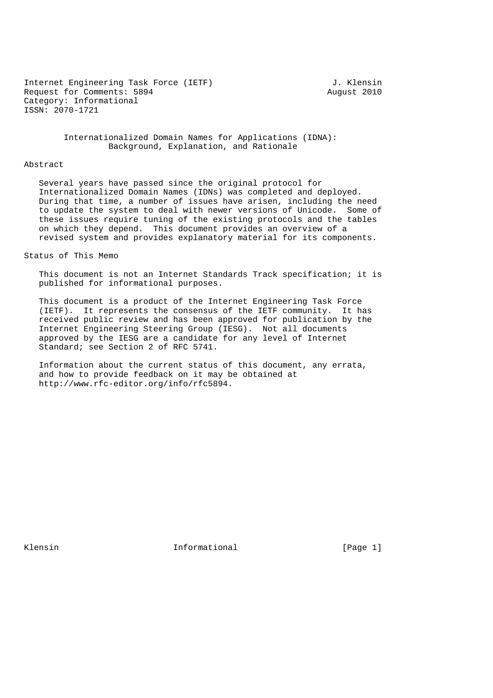Internet Engineering Task Force (IETF) and the state of the Senator of Theorem and Theorem I. Request for Comments: 5894 August 2010 Category: Informational ISSN: 2070-1721

 Internationalized Domain Names for Applications (IDNA): Background, Explanation, and Rationale

#### Abstract

 Several years have passed since the original protocol for Internationalized Domain Names (IDNs) was completed and deployed. During that time, a number of issues have arisen, including the need to update the system to deal with newer versions of Unicode. Some of these issues require tuning of the existing protocols and the tables on which they depend. This document provides an overview of a revised system and provides explanatory material for its components.

Status of This Memo

 This document is not an Internet Standards Track specification; it is published for informational purposes.

 This document is a product of the Internet Engineering Task Force (IETF). It represents the consensus of the IETF community. It has received public review and has been approved for publication by the Internet Engineering Steering Group (IESG). Not all documents approved by the IESG are a candidate for any level of Internet Standard; see Section 2 of RFC 5741.

 Information about the current status of this document, any errata, and how to provide feedback on it may be obtained at http://www.rfc-editor.org/info/rfc5894.

Klensin 1. Informational 1. The Informational (Page 1)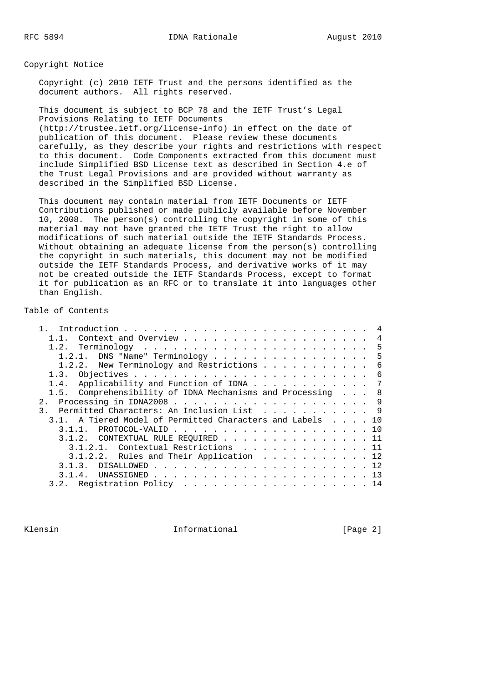Copyright Notice

 Copyright (c) 2010 IETF Trust and the persons identified as the document authors. All rights reserved.

 This document is subject to BCP 78 and the IETF Trust's Legal Provisions Relating to IETF Documents (http://trustee.ietf.org/license-info) in effect on the date of publication of this document. Please review these documents carefully, as they describe your rights and restrictions with respect to this document. Code Components extracted from this document must include Simplified BSD License text as described in Section 4.e of the Trust Legal Provisions and are provided without warranty as described in the Simplified BSD License.

 This document may contain material from IETF Documents or IETF Contributions published or made publicly available before November 10, 2008. The person(s) controlling the copyright in some of this material may not have granted the IETF Trust the right to allow modifications of such material outside the IETF Standards Process. Without obtaining an adequate license from the person(s) controlling the copyright in such materials, this document may not be modified outside the IETF Standards Process, and derivative works of it may not be created outside the IETF Standards Process, except to format it for publication as an RFC or to translate it into languages other than English.

Table of Contents

| 1.2.1. DNS "Name" Terminology 5                            |  |  |  |
|------------------------------------------------------------|--|--|--|
| 1.2.2. New Terminology and Restrictions 6                  |  |  |  |
|                                                            |  |  |  |
| 1.4. Applicability and Function of IDNA 7                  |  |  |  |
| 1.5. Comprehensibility of IDNA Mechanisms and Processing 8 |  |  |  |
|                                                            |  |  |  |
| 3. Permitted Characters: An Inclusion List 9               |  |  |  |
| 3.1. A Tiered Model of Permitted Characters and Labels 10  |  |  |  |
| $3.1.1.$ PROTOCOL-VALID 10                                 |  |  |  |
| 3.1.2. CONTEXTUAL RULE REQUIRED 11                         |  |  |  |
| 3.1.2.1. Contextual Restrictions 11                        |  |  |  |
| 3.1.2.2. Rules and Their Application 12                    |  |  |  |
|                                                            |  |  |  |
|                                                            |  |  |  |
| 3.2. Registration Policy 14                                |  |  |  |

Klensin 10 Informational 1999 [Page 2]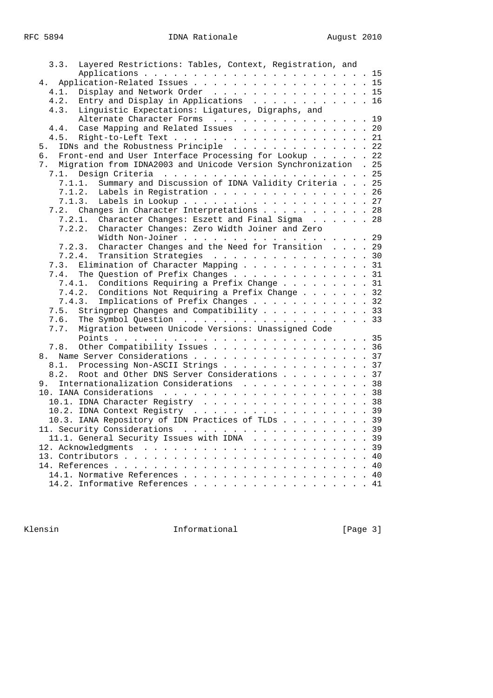| 3.3. | Layered Restrictions: Tables, Context, Registration, and         |  |  |
|------|------------------------------------------------------------------|--|--|
|      |                                                                  |  |  |
| 4.   | Application-Related Issues 15                                    |  |  |
| 4.1. | Display and Network Order 15                                     |  |  |
| 4.2. | Entry and Display in Applications 16                             |  |  |
| 4.3. | Linguistic Expectations: Ligatures, Digraphs, and                |  |  |
|      | Alternate Character Forms 19                                     |  |  |
|      |                                                                  |  |  |
| 4.4. | Case Mapping and Related Issues 20                               |  |  |
| 4.5. | Right-to-Left Text 21                                            |  |  |
| 5.   | IDNs and the Robustness Principle 22                             |  |  |
| б.   | Front-end and User Interface Processing for Lookup 22            |  |  |
| 7.   | Migration from IDNA2003 and Unicode Version Synchronization . 25 |  |  |
| 7.1. |                                                                  |  |  |
|      | Summary and Discussion of IDNA Validity Criteria 25<br>7.1.1.    |  |  |
|      | 7.1.2.<br>Labels in Registration 26                              |  |  |
|      | Labels in Lookup 27<br>7.1.3.                                    |  |  |
|      | 7.2. Changes in Character Interpretations 28                     |  |  |
|      | Character Changes: Eszett and Final Sigma 28<br>7.2.1.           |  |  |
|      | Character Changes: Zero Width Joiner and Zero<br>7.2.2.          |  |  |
|      | Width Non-Joiner 29                                              |  |  |
|      | Character Changes and the Need for Transition 29<br>7.2.3.       |  |  |
|      | 7.2.4.<br>Transition Strategies 30                               |  |  |
| 7.3. | Elimination of Character Mapping 31                              |  |  |
| 7.4. | The Question of Prefix Changes 31                                |  |  |
|      | 7.4.1. Conditions Requiring a Prefix Change 31                   |  |  |
|      | Conditions Not Requiring a Prefix Change 32<br>7.4.2.            |  |  |
|      | Implications of Prefix Changes 32<br>7.4.3.                      |  |  |
| 7.5. | Stringprep Changes and Compatibility 33                          |  |  |
| 7.6. | The Symbol Question $\cdots$ , 33                                |  |  |
| 7.7. | Migration between Unicode Versions: Unassigned Code              |  |  |
|      |                                                                  |  |  |
|      |                                                                  |  |  |
| 7.8. | Other Compatibility Issues 36                                    |  |  |
|      | 8. Name Server Considerations 37                                 |  |  |
| 8.1. | Processing Non-ASCII Strings 37                                  |  |  |
| 8.2. | Root and Other DNS Server Considerations 37                      |  |  |
| 9.   | Internationalization Considerations 38                           |  |  |
|      |                                                                  |  |  |
|      | 10.1. IDNA Character Registry 38                                 |  |  |
|      | 10.2. IDNA Context Registry 39                                   |  |  |
|      | 10.3. IANA Repository of IDN Practices of TLDs 39                |  |  |
|      |                                                                  |  |  |
|      | 11.1. General Security Issues with IDNA 39                       |  |  |
|      |                                                                  |  |  |
|      |                                                                  |  |  |
|      |                                                                  |  |  |
|      |                                                                  |  |  |
|      | 14.2. Informative References 41                                  |  |  |

Rlensin **Informational** Informational [Page 3]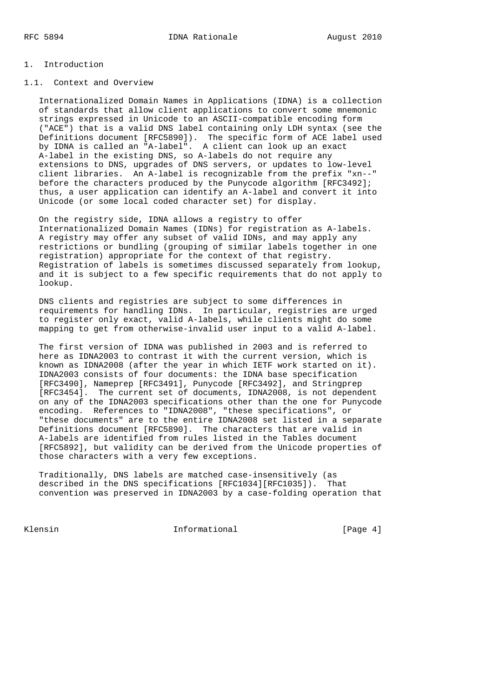# 1. Introduction

# 1.1. Context and Overview

 Internationalized Domain Names in Applications (IDNA) is a collection of standards that allow client applications to convert some mnemonic strings expressed in Unicode to an ASCII-compatible encoding form ("ACE") that is a valid DNS label containing only LDH syntax (see the Definitions document [RFC5890]). The specific form of ACE label used by IDNA is called an "A-label". A client can look up an exact A-label in the existing DNS, so A-labels do not require any extensions to DNS, upgrades of DNS servers, or updates to low-level client libraries. An A-label is recognizable from the prefix "xn--" before the characters produced by the Punycode algorithm [RFC3492]; thus, a user application can identify an A-label and convert it into Unicode (or some local coded character set) for display.

 On the registry side, IDNA allows a registry to offer Internationalized Domain Names (IDNs) for registration as A-labels. A registry may offer any subset of valid IDNs, and may apply any restrictions or bundling (grouping of similar labels together in one registration) appropriate for the context of that registry. Registration of labels is sometimes discussed separately from lookup, and it is subject to a few specific requirements that do not apply to lookup.

 DNS clients and registries are subject to some differences in requirements for handling IDNs. In particular, registries are urged to register only exact, valid A-labels, while clients might do some mapping to get from otherwise-invalid user input to a valid A-label.

 The first version of IDNA was published in 2003 and is referred to here as IDNA2003 to contrast it with the current version, which is known as IDNA2008 (after the year in which IETF work started on it). IDNA2003 consists of four documents: the IDNA base specification [RFC3490], Nameprep [RFC3491], Punycode [RFC3492], and Stringprep [RFC3454]. The current set of documents, IDNA2008, is not dependent on any of the IDNA2003 specifications other than the one for Punycode encoding. References to "IDNA2008", "these specifications", or "these documents" are to the entire IDNA2008 set listed in a separate Definitions document [RFC5890]. The characters that are valid in A-labels are identified from rules listed in the Tables document [RFC5892], but validity can be derived from the Unicode properties of those characters with a very few exceptions.

 Traditionally, DNS labels are matched case-insensitively (as described in the DNS specifications [RFC1034][RFC1035]). That convention was preserved in IDNA2003 by a case-folding operation that

Klensin 11 Informational 1996 (Page 4)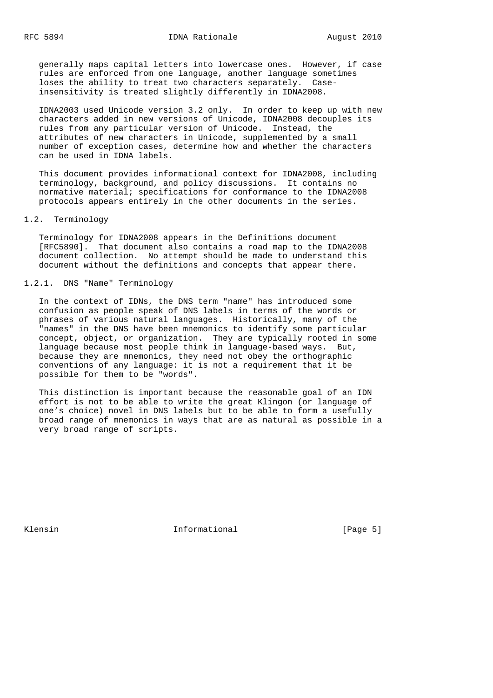generally maps capital letters into lowercase ones. However, if case rules are enforced from one language, another language sometimes loses the ability to treat two characters separately. Case insensitivity is treated slightly differently in IDNA2008.

 IDNA2003 used Unicode version 3.2 only. In order to keep up with new characters added in new versions of Unicode, IDNA2008 decouples its rules from any particular version of Unicode. Instead, the attributes of new characters in Unicode, supplemented by a small number of exception cases, determine how and whether the characters can be used in IDNA labels.

 This document provides informational context for IDNA2008, including terminology, background, and policy discussions. It contains no normative material; specifications for conformance to the IDNA2008 protocols appears entirely in the other documents in the series.

#### 1.2. Terminology

 Terminology for IDNA2008 appears in the Definitions document [RFC5890]. That document also contains a road map to the IDNA2008 document collection. No attempt should be made to understand this document without the definitions and concepts that appear there.

# 1.2.1. DNS "Name" Terminology

 In the context of IDNs, the DNS term "name" has introduced some confusion as people speak of DNS labels in terms of the words or phrases of various natural languages. Historically, many of the "names" in the DNS have been mnemonics to identify some particular concept, object, or organization. They are typically rooted in some language because most people think in language-based ways. But, because they are mnemonics, they need not obey the orthographic conventions of any language: it is not a requirement that it be possible for them to be "words".

 This distinction is important because the reasonable goal of an IDN effort is not to be able to write the great Klingon (or language of one's choice) novel in DNS labels but to be able to form a usefully broad range of mnemonics in ways that are as natural as possible in a very broad range of scripts.

Klensin 11 - Informational 11 - Informational (Page 5)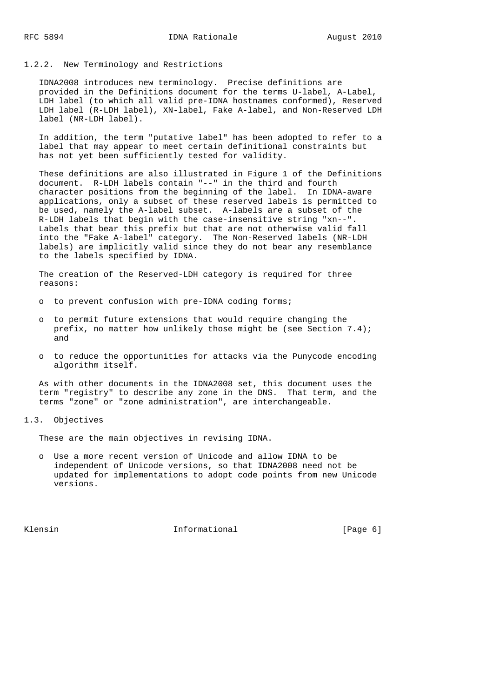#### 1.2.2. New Terminology and Restrictions

 IDNA2008 introduces new terminology. Precise definitions are provided in the Definitions document for the terms U-label, A-Label, LDH label (to which all valid pre-IDNA hostnames conformed), Reserved LDH label (R-LDH label), XN-label, Fake A-label, and Non-Reserved LDH label (NR-LDH label).

 In addition, the term "putative label" has been adopted to refer to a label that may appear to meet certain definitional constraints but has not yet been sufficiently tested for validity.

 These definitions are also illustrated in Figure 1 of the Definitions document. R-LDH labels contain "--" in the third and fourth character positions from the beginning of the label. In IDNA-aware applications, only a subset of these reserved labels is permitted to be used, namely the A-label subset. A-labels are a subset of the R-LDH labels that begin with the case-insensitive string "xn--". Labels that bear this prefix but that are not otherwise valid fall into the "Fake A-label" category. The Non-Reserved labels (NR-LDH labels) are implicitly valid since they do not bear any resemblance to the labels specified by IDNA.

 The creation of the Reserved-LDH category is required for three reasons:

- o to prevent confusion with pre-IDNA coding forms;
- o to permit future extensions that would require changing the prefix, no matter how unlikely those might be (see Section 7.4); and
- o to reduce the opportunities for attacks via the Punycode encoding algorithm itself.

 As with other documents in the IDNA2008 set, this document uses the term "registry" to describe any zone in the DNS. That term, and the terms "zone" or "zone administration", are interchangeable.

#### 1.3. Objectives

These are the main objectives in revising IDNA.

 o Use a more recent version of Unicode and allow IDNA to be independent of Unicode versions, so that IDNA2008 need not be updated for implementations to adopt code points from new Unicode versions.

Klensin 10 and 11 and 11 and 11 and 11 and 12 and 12 and 12 and 12 and 12 and 12 and 12 and 12 and 12 and 12 and 12 and 12 and 12 and 12 and 12 and 12 and 12 and 12 and 12 and 12 and 12 and 12 and 12 and 12 and 12 and 12 a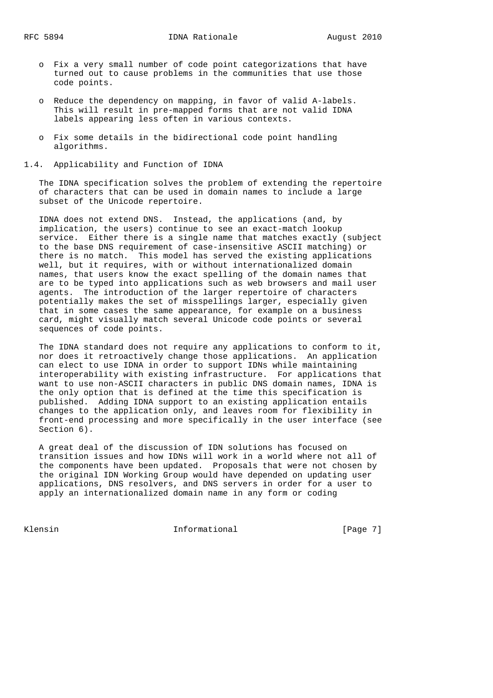- o Fix a very small number of code point categorizations that have turned out to cause problems in the communities that use those code points.
- o Reduce the dependency on mapping, in favor of valid A-labels. This will result in pre-mapped forms that are not valid IDNA labels appearing less often in various contexts.
- o Fix some details in the bidirectional code point handling algorithms.
- 1.4. Applicability and Function of IDNA

 The IDNA specification solves the problem of extending the repertoire of characters that can be used in domain names to include a large subset of the Unicode repertoire.

 IDNA does not extend DNS. Instead, the applications (and, by implication, the users) continue to see an exact-match lookup service. Either there is a single name that matches exactly (subject to the base DNS requirement of case-insensitive ASCII matching) or there is no match. This model has served the existing applications well, but it requires, with or without internationalized domain names, that users know the exact spelling of the domain names that are to be typed into applications such as web browsers and mail user agents. The introduction of the larger repertoire of characters potentially makes the set of misspellings larger, especially given that in some cases the same appearance, for example on a business card, might visually match several Unicode code points or several sequences of code points.

 The IDNA standard does not require any applications to conform to it, nor does it retroactively change those applications. An application can elect to use IDNA in order to support IDNs while maintaining interoperability with existing infrastructure. For applications that want to use non-ASCII characters in public DNS domain names, IDNA is the only option that is defined at the time this specification is published. Adding IDNA support to an existing application entails changes to the application only, and leaves room for flexibility in front-end processing and more specifically in the user interface (see Section 6).

 A great deal of the discussion of IDN solutions has focused on transition issues and how IDNs will work in a world where not all of the components have been updated. Proposals that were not chosen by the original IDN Working Group would have depended on updating user applications, DNS resolvers, and DNS servers in order for a user to apply an internationalized domain name in any form or coding

Klensin 11 Informational 1999 [Page 7]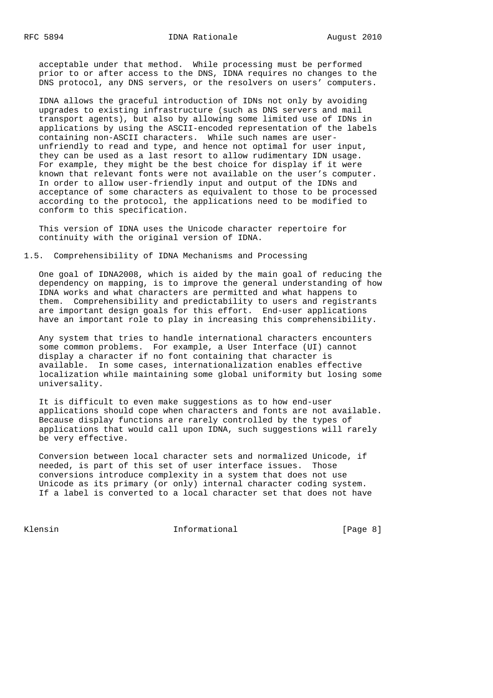acceptable under that method. While processing must be performed prior to or after access to the DNS, IDNA requires no changes to the DNS protocol, any DNS servers, or the resolvers on users' computers.

 IDNA allows the graceful introduction of IDNs not only by avoiding upgrades to existing infrastructure (such as DNS servers and mail transport agents), but also by allowing some limited use of IDNs in applications by using the ASCII-encoded representation of the labels containing non-ASCII characters. While such names are user unfriendly to read and type, and hence not optimal for user input, they can be used as a last resort to allow rudimentary IDN usage. For example, they might be the best choice for display if it were known that relevant fonts were not available on the user's computer. In order to allow user-friendly input and output of the IDNs and acceptance of some characters as equivalent to those to be processed according to the protocol, the applications need to be modified to conform to this specification.

 This version of IDNA uses the Unicode character repertoire for continuity with the original version of IDNA.

1.5. Comprehensibility of IDNA Mechanisms and Processing

 One goal of IDNA2008, which is aided by the main goal of reducing the dependency on mapping, is to improve the general understanding of how IDNA works and what characters are permitted and what happens to them. Comprehensibility and predictability to users and registrants are important design goals for this effort. End-user applications have an important role to play in increasing this comprehensibility.

 Any system that tries to handle international characters encounters some common problems. For example, a User Interface (UI) cannot display a character if no font containing that character is available. In some cases, internationalization enables effective localization while maintaining some global uniformity but losing some universality.

 It is difficult to even make suggestions as to how end-user applications should cope when characters and fonts are not available. Because display functions are rarely controlled by the types of applications that would call upon IDNA, such suggestions will rarely be very effective.

 Conversion between local character sets and normalized Unicode, if needed, is part of this set of user interface issues. Those conversions introduce complexity in a system that does not use Unicode as its primary (or only) internal character coding system. If a label is converted to a local character set that does not have

Klensin 11 - Informational 11 - Informational (Page 8)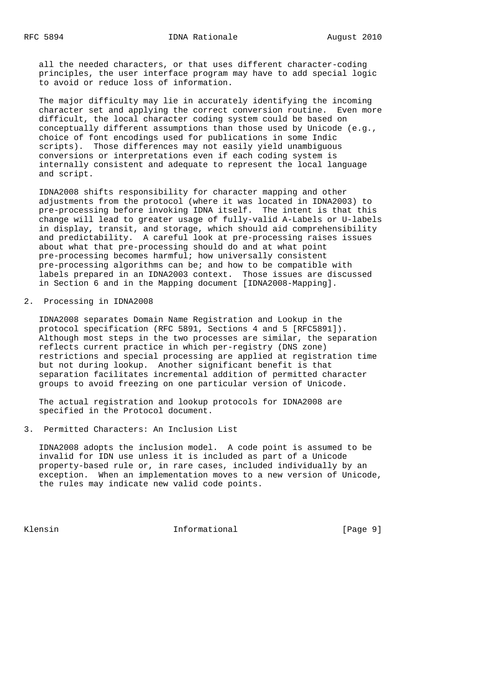all the needed characters, or that uses different character-coding principles, the user interface program may have to add special logic to avoid or reduce loss of information.

 The major difficulty may lie in accurately identifying the incoming character set and applying the correct conversion routine. Even more difficult, the local character coding system could be based on conceptually different assumptions than those used by Unicode (e.g., choice of font encodings used for publications in some Indic scripts). Those differences may not easily yield unambiguous conversions or interpretations even if each coding system is internally consistent and adequate to represent the local language and script.

 IDNA2008 shifts responsibility for character mapping and other adjustments from the protocol (where it was located in IDNA2003) to pre-processing before invoking IDNA itself. The intent is that this change will lead to greater usage of fully-valid A-Labels or U-labels in display, transit, and storage, which should aid comprehensibility and predictability. A careful look at pre-processing raises issues about what that pre-processing should do and at what point pre-processing becomes harmful; how universally consistent pre-processing algorithms can be; and how to be compatible with labels prepared in an IDNA2003 context. Those issues are discussed in Section 6 and in the Mapping document [IDNA2008-Mapping].

#### 2. Processing in IDNA2008

 IDNA2008 separates Domain Name Registration and Lookup in the protocol specification (RFC 5891, Sections 4 and 5 [RFC5891]). Although most steps in the two processes are similar, the separation reflects current practice in which per-registry (DNS zone) restrictions and special processing are applied at registration time but not during lookup. Another significant benefit is that separation facilitates incremental addition of permitted character groups to avoid freezing on one particular version of Unicode.

 The actual registration and lookup protocols for IDNA2008 are specified in the Protocol document.

3. Permitted Characters: An Inclusion List

 IDNA2008 adopts the inclusion model. A code point is assumed to be invalid for IDN use unless it is included as part of a Unicode property-based rule or, in rare cases, included individually by an exception. When an implementation moves to a new version of Unicode, the rules may indicate new valid code points.

Klensin 11 - Informational 11 - Informational (Page 9)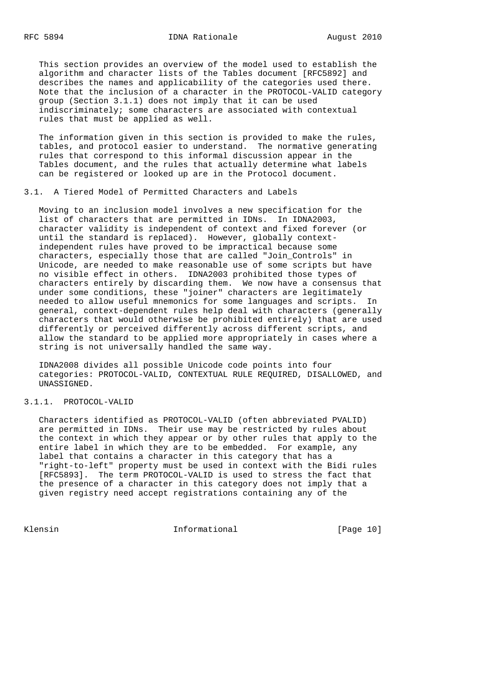This section provides an overview of the model used to establish the algorithm and character lists of the Tables document [RFC5892] and describes the names and applicability of the categories used there. Note that the inclusion of a character in the PROTOCOL-VALID category group (Section 3.1.1) does not imply that it can be used indiscriminately; some characters are associated with contextual rules that must be applied as well.

 The information given in this section is provided to make the rules, tables, and protocol easier to understand. The normative generating rules that correspond to this informal discussion appear in the Tables document, and the rules that actually determine what labels can be registered or looked up are in the Protocol document.

# 3.1. A Tiered Model of Permitted Characters and Labels

 Moving to an inclusion model involves a new specification for the list of characters that are permitted in IDNs. In IDNA2003, character validity is independent of context and fixed forever (or until the standard is replaced). However, globally context independent rules have proved to be impractical because some characters, especially those that are called "Join\_Controls" in Unicode, are needed to make reasonable use of some scripts but have no visible effect in others. IDNA2003 prohibited those types of characters entirely by discarding them. We now have a consensus that under some conditions, these "joiner" characters are legitimately needed to allow useful mnemonics for some languages and scripts. In general, context-dependent rules help deal with characters (generally characters that would otherwise be prohibited entirely) that are used differently or perceived differently across different scripts, and allow the standard to be applied more appropriately in cases where a string is not universally handled the same way.

 IDNA2008 divides all possible Unicode code points into four categories: PROTOCOL-VALID, CONTEXTUAL RULE REQUIRED, DISALLOWED, and UNASSIGNED.

#### 3.1.1. PROTOCOL-VALID

 Characters identified as PROTOCOL-VALID (often abbreviated PVALID) are permitted in IDNs. Their use may be restricted by rules about the context in which they appear or by other rules that apply to the entire label in which they are to be embedded. For example, any label that contains a character in this category that has a "right-to-left" property must be used in context with the Bidi rules [RFC5893]. The term PROTOCOL-VALID is used to stress the fact that the presence of a character in this category does not imply that a given registry need accept registrations containing any of the

Klensin 10 Informational [Page 10]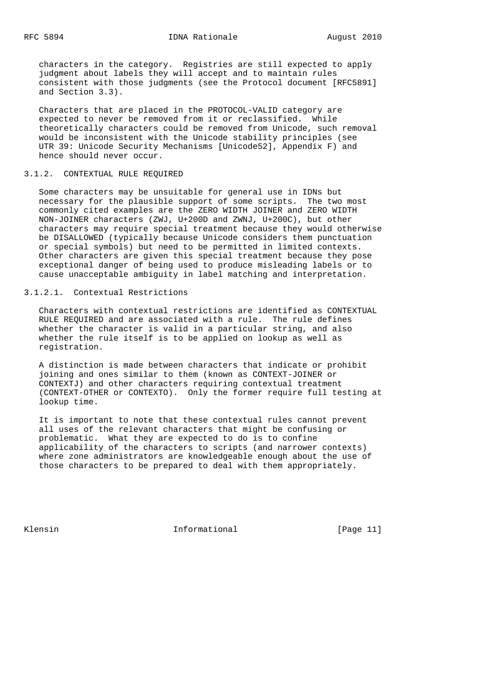characters in the category. Registries are still expected to apply judgment about labels they will accept and to maintain rules consistent with those judgments (see the Protocol document [RFC5891] and Section 3.3).

 Characters that are placed in the PROTOCOL-VALID category are expected to never be removed from it or reclassified. While theoretically characters could be removed from Unicode, such removal would be inconsistent with the Unicode stability principles (see UTR 39: Unicode Security Mechanisms [Unicode52], Appendix F) and hence should never occur.

#### 3.1.2. CONTEXTUAL RULE REQUIRED

 Some characters may be unsuitable for general use in IDNs but necessary for the plausible support of some scripts. The two most commonly cited examples are the ZERO WIDTH JOINER and ZERO WIDTH NON-JOINER characters (ZWJ, U+200D and ZWNJ, U+200C), but other characters may require special treatment because they would otherwise be DISALLOWED (typically because Unicode considers them punctuation or special symbols) but need to be permitted in limited contexts. Other characters are given this special treatment because they pose exceptional danger of being used to produce misleading labels or to cause unacceptable ambiguity in label matching and interpretation.

# 3.1.2.1. Contextual Restrictions

 Characters with contextual restrictions are identified as CONTEXTUAL RULE REQUIRED and are associated with a rule. The rule defines whether the character is valid in a particular string, and also whether the rule itself is to be applied on lookup as well as registration.

 A distinction is made between characters that indicate or prohibit joining and ones similar to them (known as CONTEXT-JOINER or CONTEXTJ) and other characters requiring contextual treatment (CONTEXT-OTHER or CONTEXTO). Only the former require full testing at lookup time.

 It is important to note that these contextual rules cannot prevent all uses of the relevant characters that might be confusing or problematic. What they are expected to do is to confine applicability of the characters to scripts (and narrower contexts) where zone administrators are knowledgeable enough about the use of those characters to be prepared to deal with them appropriately.

Klensin 10 Informational [Page 11]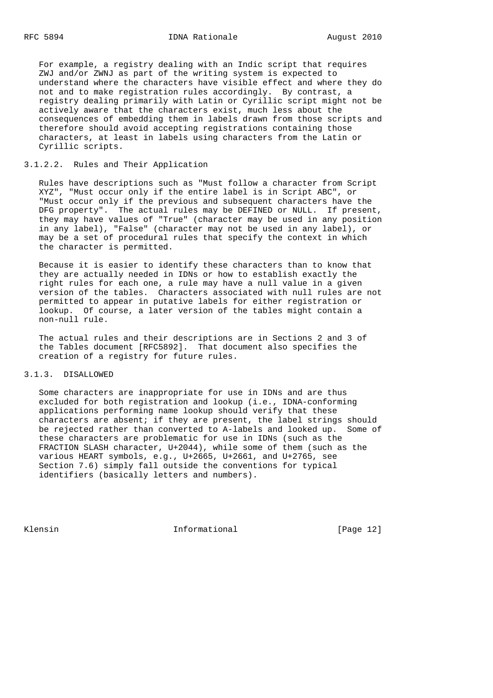For example, a registry dealing with an Indic script that requires ZWJ and/or ZWNJ as part of the writing system is expected to understand where the characters have visible effect and where they do not and to make registration rules accordingly. By contrast, a registry dealing primarily with Latin or Cyrillic script might not be actively aware that the characters exist, much less about the consequences of embedding them in labels drawn from those scripts and therefore should avoid accepting registrations containing those characters, at least in labels using characters from the Latin or Cyrillic scripts.

# 3.1.2.2. Rules and Their Application

 Rules have descriptions such as "Must follow a character from Script XYZ", "Must occur only if the entire label is in Script ABC", or "Must occur only if the previous and subsequent characters have the DFG property". The actual rules may be DEFINED or NULL. If present, they may have values of "True" (character may be used in any position in any label), "False" (character may not be used in any label), or may be a set of procedural rules that specify the context in which the character is permitted.

 Because it is easier to identify these characters than to know that they are actually needed in IDNs or how to establish exactly the right rules for each one, a rule may have a null value in a given version of the tables. Characters associated with null rules are not permitted to appear in putative labels for either registration or lookup. Of course, a later version of the tables might contain a non-null rule.

 The actual rules and their descriptions are in Sections 2 and 3 of the Tables document [RFC5892]. That document also specifies the creation of a registry for future rules.

#### 3.1.3. DISALLOWED

 Some characters are inappropriate for use in IDNs and are thus excluded for both registration and lookup (i.e., IDNA-conforming applications performing name lookup should verify that these characters are absent; if they are present, the label strings should be rejected rather than converted to A-labels and looked up. Some of these characters are problematic for use in IDNs (such as the FRACTION SLASH character, U+2044), while some of them (such as the various HEART symbols, e.g., U+2665, U+2661, and U+2765, see Section 7.6) simply fall outside the conventions for typical identifiers (basically letters and numbers).

Klensin 10 Informational [Page 12]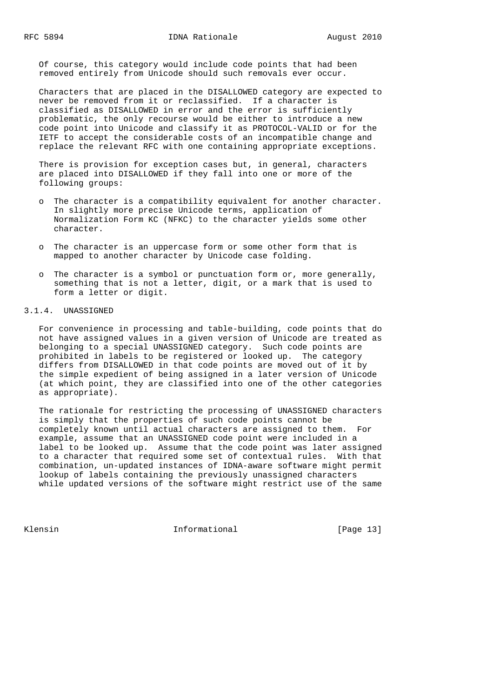Of course, this category would include code points that had been removed entirely from Unicode should such removals ever occur.

 Characters that are placed in the DISALLOWED category are expected to never be removed from it or reclassified. If a character is classified as DISALLOWED in error and the error is sufficiently problematic, the only recourse would be either to introduce a new code point into Unicode and classify it as PROTOCOL-VALID or for the IETF to accept the considerable costs of an incompatible change and replace the relevant RFC with one containing appropriate exceptions.

 There is provision for exception cases but, in general, characters are placed into DISALLOWED if they fall into one or more of the following groups:

- o The character is a compatibility equivalent for another character. In slightly more precise Unicode terms, application of Normalization Form KC (NFKC) to the character yields some other character.
- o The character is an uppercase form or some other form that is mapped to another character by Unicode case folding.
- o The character is a symbol or punctuation form or, more generally, something that is not a letter, digit, or a mark that is used to form a letter or digit.

# 3.1.4. UNASSIGNED

 For convenience in processing and table-building, code points that do not have assigned values in a given version of Unicode are treated as belonging to a special UNASSIGNED category. Such code points are prohibited in labels to be registered or looked up. The category differs from DISALLOWED in that code points are moved out of it by the simple expedient of being assigned in a later version of Unicode (at which point, they are classified into one of the other categories as appropriate).

 The rationale for restricting the processing of UNASSIGNED characters is simply that the properties of such code points cannot be completely known until actual characters are assigned to them. For example, assume that an UNASSIGNED code point were included in a label to be looked up. Assume that the code point was later assigned to a character that required some set of contextual rules. With that combination, un-updated instances of IDNA-aware software might permit lookup of labels containing the previously unassigned characters while updated versions of the software might restrict use of the same

Klensin 10 Informational [Page 13]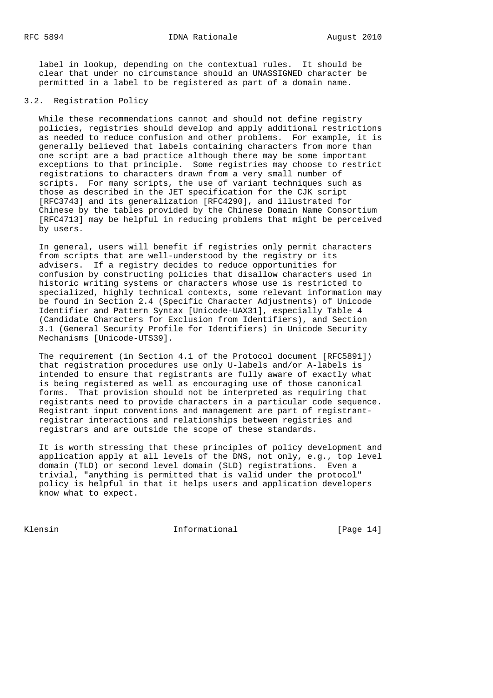label in lookup, depending on the contextual rules. It should be clear that under no circumstance should an UNASSIGNED character be permitted in a label to be registered as part of a domain name.

# 3.2. Registration Policy

 While these recommendations cannot and should not define registry policies, registries should develop and apply additional restrictions as needed to reduce confusion and other problems. For example, it is generally believed that labels containing characters from more than one script are a bad practice although there may be some important exceptions to that principle. Some registries may choose to restrict registrations to characters drawn from a very small number of scripts. For many scripts, the use of variant techniques such as those as described in the JET specification for the CJK script [RFC3743] and its generalization [RFC4290], and illustrated for Chinese by the tables provided by the Chinese Domain Name Consortium [RFC4713] may be helpful in reducing problems that might be perceived by users.

 In general, users will benefit if registries only permit characters from scripts that are well-understood by the registry or its advisers. If a registry decides to reduce opportunities for confusion by constructing policies that disallow characters used in historic writing systems or characters whose use is restricted to specialized, highly technical contexts, some relevant information may be found in Section 2.4 (Specific Character Adjustments) of Unicode Identifier and Pattern Syntax [Unicode-UAX31], especially Table 4 (Candidate Characters for Exclusion from Identifiers), and Section 3.1 (General Security Profile for Identifiers) in Unicode Security Mechanisms [Unicode-UTS39].

 The requirement (in Section 4.1 of the Protocol document [RFC5891]) that registration procedures use only U-labels and/or A-labels is intended to ensure that registrants are fully aware of exactly what is being registered as well as encouraging use of those canonical forms. That provision should not be interpreted as requiring that registrants need to provide characters in a particular code sequence. Registrant input conventions and management are part of registrant registrar interactions and relationships between registries and registrars and are outside the scope of these standards.

 It is worth stressing that these principles of policy development and application apply at all levels of the DNS, not only, e.g., top level domain (TLD) or second level domain (SLD) registrations. Even a trivial, "anything is permitted that is valid under the protocol" policy is helpful in that it helps users and application developers know what to expect.

Klensin 10 Informational [Page 14]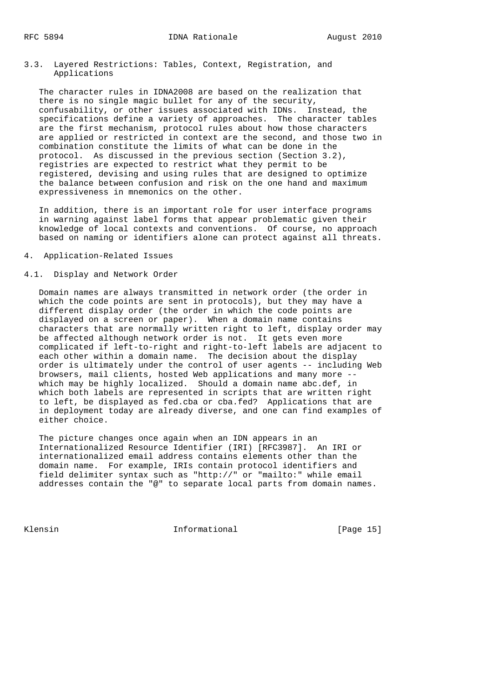3.3. Layered Restrictions: Tables, Context, Registration, and Applications

 The character rules in IDNA2008 are based on the realization that there is no single magic bullet for any of the security, confusability, or other issues associated with IDNs. Instead, the specifications define a variety of approaches. The character tables are the first mechanism, protocol rules about how those characters are applied or restricted in context are the second, and those two in combination constitute the limits of what can be done in the protocol. As discussed in the previous section (Section 3.2), registries are expected to restrict what they permit to be registered, devising and using rules that are designed to optimize the balance between confusion and risk on the one hand and maximum expressiveness in mnemonics on the other.

 In addition, there is an important role for user interface programs in warning against label forms that appear problematic given their knowledge of local contexts and conventions. Of course, no approach based on naming or identifiers alone can protect against all threats.

4. Application-Related Issues

#### 4.1. Display and Network Order

 Domain names are always transmitted in network order (the order in which the code points are sent in protocols), but they may have a different display order (the order in which the code points are displayed on a screen or paper). When a domain name contains characters that are normally written right to left, display order may be affected although network order is not. It gets even more complicated if left-to-right and right-to-left labels are adjacent to each other within a domain name. The decision about the display order is ultimately under the control of user agents -- including Web browsers, mail clients, hosted Web applications and many more - which may be highly localized. Should a domain name abc.def, in which both labels are represented in scripts that are written right to left, be displayed as fed.cba or cba.fed? Applications that are in deployment today are already diverse, and one can find examples of either choice.

 The picture changes once again when an IDN appears in an Internationalized Resource Identifier (IRI) [RFC3987]. An IRI or internationalized email address contains elements other than the domain name. For example, IRIs contain protocol identifiers and field delimiter syntax such as "http://" or "mailto:" while email addresses contain the "@" to separate local parts from domain names.

Klensin 10 Informational [Page 15]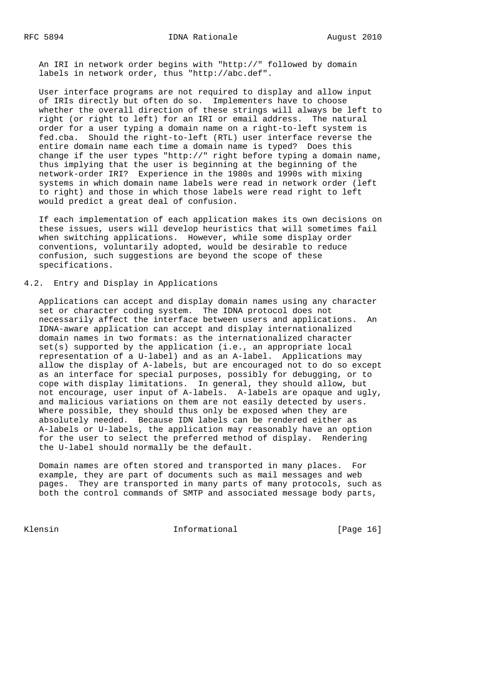An IRI in network order begins with "http://" followed by domain labels in network order, thus "http://abc.def".

 User interface programs are not required to display and allow input of IRIs directly but often do so. Implementers have to choose whether the overall direction of these strings will always be left to right (or right to left) for an IRI or email address. The natural order for a user typing a domain name on a right-to-left system is fed.cba. Should the right-to-left (RTL) user interface reverse the entire domain name each time a domain name is typed? Does this change if the user types "http://" right before typing a domain name, thus implying that the user is beginning at the beginning of the network-order IRI? Experience in the 1980s and 1990s with mixing systems in which domain name labels were read in network order (left to right) and those in which those labels were read right to left would predict a great deal of confusion.

 If each implementation of each application makes its own decisions on these issues, users will develop heuristics that will sometimes fail when switching applications. However, while some display order conventions, voluntarily adopted, would be desirable to reduce confusion, such suggestions are beyond the scope of these specifications.

# 4.2. Entry and Display in Applications

 Applications can accept and display domain names using any character set or character coding system. The IDNA protocol does not necessarily affect the interface between users and applications. An IDNA-aware application can accept and display internationalized domain names in two formats: as the internationalized character set(s) supported by the application (i.e., an appropriate local representation of a U-label) and as an A-label. Applications may allow the display of A-labels, but are encouraged not to do so except as an interface for special purposes, possibly for debugging, or to cope with display limitations. In general, they should allow, but not encourage, user input of A-labels. A-labels are opaque and ugly, and malicious variations on them are not easily detected by users. Where possible, they should thus only be exposed when they are absolutely needed. Because IDN labels can be rendered either as A-labels or U-labels, the application may reasonably have an option for the user to select the preferred method of display. Rendering the U-label should normally be the default.

 Domain names are often stored and transported in many places. For example, they are part of documents such as mail messages and web pages. They are transported in many parts of many protocols, such as both the control commands of SMTP and associated message body parts,

Klensin 10 Informational [Page 16]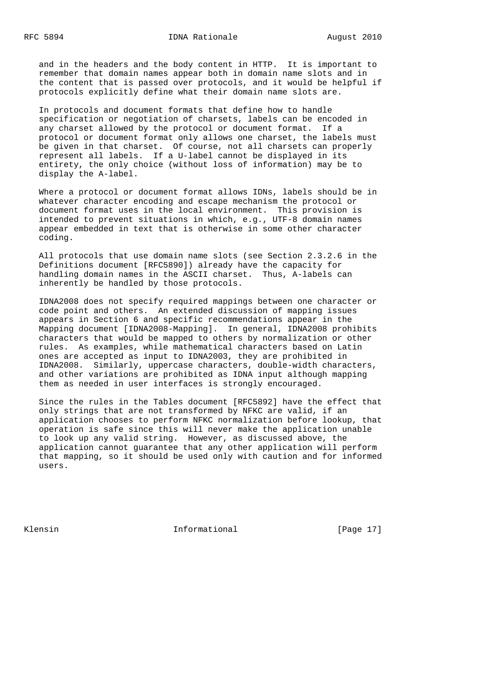and in the headers and the body content in HTTP. It is important to remember that domain names appear both in domain name slots and in the content that is passed over protocols, and it would be helpful if protocols explicitly define what their domain name slots are.

 In protocols and document formats that define how to handle specification or negotiation of charsets, labels can be encoded in any charset allowed by the protocol or document format. If a protocol or document format only allows one charset, the labels must be given in that charset. Of course, not all charsets can properly represent all labels. If a U-label cannot be displayed in its entirety, the only choice (without loss of information) may be to display the A-label.

 Where a protocol or document format allows IDNs, labels should be in whatever character encoding and escape mechanism the protocol or document format uses in the local environment. This provision is intended to prevent situations in which, e.g., UTF-8 domain names appear embedded in text that is otherwise in some other character coding.

 All protocols that use domain name slots (see Section 2.3.2.6 in the Definitions document [RFC5890]) already have the capacity for handling domain names in the ASCII charset. Thus, A-labels can inherently be handled by those protocols.

 IDNA2008 does not specify required mappings between one character or code point and others. An extended discussion of mapping issues appears in Section 6 and specific recommendations appear in the Mapping document [IDNA2008-Mapping]. In general, IDNA2008 prohibits characters that would be mapped to others by normalization or other rules. As examples, while mathematical characters based on Latin ones are accepted as input to IDNA2003, they are prohibited in IDNA2008. Similarly, uppercase characters, double-width characters, and other variations are prohibited as IDNA input although mapping them as needed in user interfaces is strongly encouraged.

 Since the rules in the Tables document [RFC5892] have the effect that only strings that are not transformed by NFKC are valid, if an application chooses to perform NFKC normalization before lookup, that operation is safe since this will never make the application unable to look up any valid string. However, as discussed above, the application cannot guarantee that any other application will perform that mapping, so it should be used only with caution and for informed users.

Klensin 10 Informational [Page 17]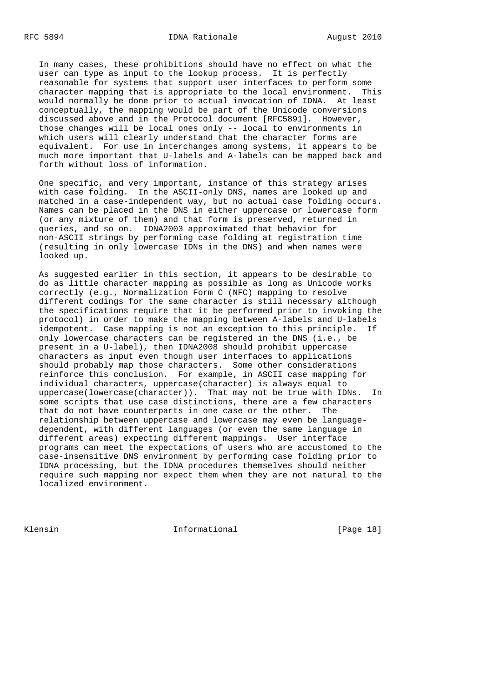In many cases, these prohibitions should have no effect on what the user can type as input to the lookup process. It is perfectly reasonable for systems that support user interfaces to perform some character mapping that is appropriate to the local environment. This would normally be done prior to actual invocation of IDNA. At least conceptually, the mapping would be part of the Unicode conversions discussed above and in the Protocol document [RFC5891]. However, those changes will be local ones only -- local to environments in which users will clearly understand that the character forms are equivalent. For use in interchanges among systems, it appears to be much more important that U-labels and A-labels can be mapped back and forth without loss of information.

 One specific, and very important, instance of this strategy arises with case folding. In the ASCII-only DNS, names are looked up and matched in a case-independent way, but no actual case folding occurs. Names can be placed in the DNS in either uppercase or lowercase form (or any mixture of them) and that form is preserved, returned in queries, and so on. IDNA2003 approximated that behavior for non-ASCII strings by performing case folding at registration time (resulting in only lowercase IDNs in the DNS) and when names were looked up.

 As suggested earlier in this section, it appears to be desirable to do as little character mapping as possible as long as Unicode works correctly (e.g., Normalization Form C (NFC) mapping to resolve different codings for the same character is still necessary although the specifications require that it be performed prior to invoking the protocol) in order to make the mapping between A-labels and U-labels idempotent. Case mapping is not an exception to this principle. If only lowercase characters can be registered in the DNS (i.e., be present in a U-label), then IDNA2008 should prohibit uppercase characters as input even though user interfaces to applications should probably map those characters. Some other considerations reinforce this conclusion. For example, in ASCII case mapping for individual characters, uppercase(character) is always equal to uppercase(lowercase(character)). That may not be true with IDNs. In some scripts that use case distinctions, there are a few characters that do not have counterparts in one case or the other. The relationship between uppercase and lowercase may even be language dependent, with different languages (or even the same language in different areas) expecting different mappings. User interface programs can meet the expectations of users who are accustomed to the case-insensitive DNS environment by performing case folding prior to IDNA processing, but the IDNA procedures themselves should neither require such mapping nor expect them when they are not natural to the localized environment.

Klensin 10 Informational [Page 18]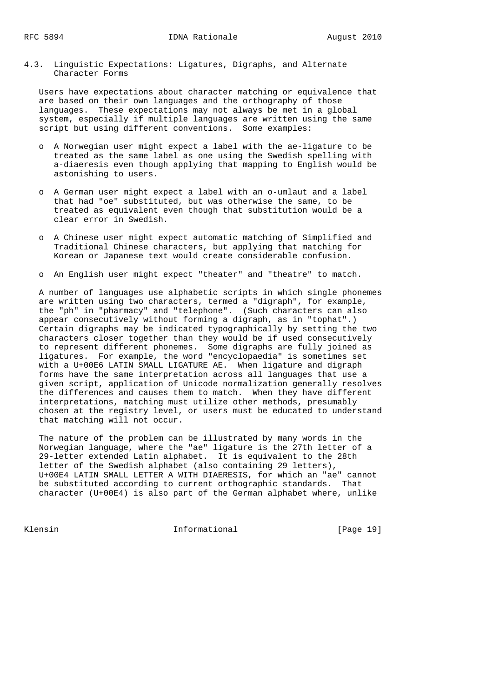4.3. Linguistic Expectations: Ligatures, Digraphs, and Alternate Character Forms

 Users have expectations about character matching or equivalence that are based on their own languages and the orthography of those languages. These expectations may not always be met in a global system, especially if multiple languages are written using the same script but using different conventions. Some examples:

- o A Norwegian user might expect a label with the ae-ligature to be treated as the same label as one using the Swedish spelling with a-diaeresis even though applying that mapping to English would be astonishing to users.
- o A German user might expect a label with an o-umlaut and a label that had "oe" substituted, but was otherwise the same, to be treated as equivalent even though that substitution would be a clear error in Swedish.
- o A Chinese user might expect automatic matching of Simplified and Traditional Chinese characters, but applying that matching for Korean or Japanese text would create considerable confusion.

o An English user might expect "theater" and "theatre" to match.

 A number of languages use alphabetic scripts in which single phonemes are written using two characters, termed a "digraph", for example, the "ph" in "pharmacy" and "telephone". (Such characters can also appear consecutively without forming a digraph, as in "tophat".) Certain digraphs may be indicated typographically by setting the two characters closer together than they would be if used consecutively to represent different phonemes. Some digraphs are fully joined as ligatures. For example, the word "encyclopaedia" is sometimes set with a U+00E6 LATIN SMALL LIGATURE AE. When ligature and digraph forms have the same interpretation across all languages that use a given script, application of Unicode normalization generally resolves the differences and causes them to match. When they have different interpretations, matching must utilize other methods, presumably chosen at the registry level, or users must be educated to understand that matching will not occur.

 The nature of the problem can be illustrated by many words in the Norwegian language, where the "ae" ligature is the 27th letter of a 29-letter extended Latin alphabet. It is equivalent to the 28th letter of the Swedish alphabet (also containing 29 letters), U+00E4 LATIN SMALL LETTER A WITH DIAERESIS, for which an "ae" cannot be substituted according to current orthographic standards. That character (U+00E4) is also part of the German alphabet where, unlike

Klensin 10 Informational [Page 19]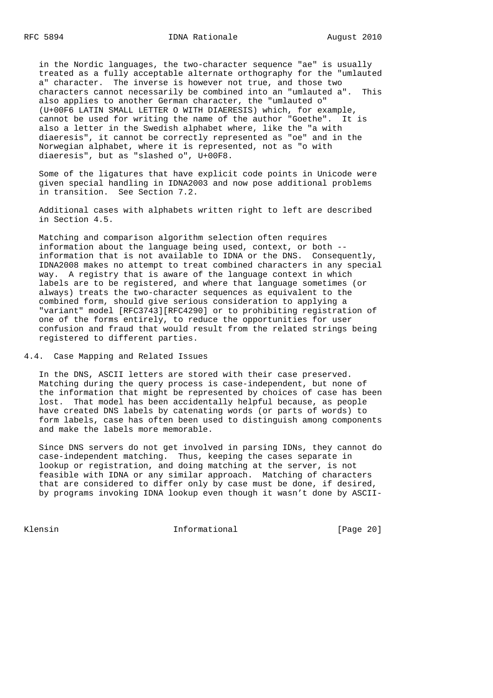in the Nordic languages, the two-character sequence "ae" is usually treated as a fully acceptable alternate orthography for the "umlauted a" character. The inverse is however not true, and those two characters cannot necessarily be combined into an "umlauted a". This also applies to another German character, the "umlauted o" (U+00F6 LATIN SMALL LETTER O WITH DIAERESIS) which, for example, cannot be used for writing the name of the author "Goethe". It is also a letter in the Swedish alphabet where, like the "a with diaeresis", it cannot be correctly represented as "oe" and in the Norwegian alphabet, where it is represented, not as "o with diaeresis", but as "slashed o", U+00F8.

 Some of the ligatures that have explicit code points in Unicode were given special handling in IDNA2003 and now pose additional problems in transition. See Section 7.2.

 Additional cases with alphabets written right to left are described in Section 4.5.

 Matching and comparison algorithm selection often requires information about the language being used, context, or both - information that is not available to IDNA or the DNS. Consequently, IDNA2008 makes no attempt to treat combined characters in any special way. A registry that is aware of the language context in which labels are to be registered, and where that language sometimes (or always) treats the two-character sequences as equivalent to the combined form, should give serious consideration to applying a "variant" model [RFC3743][RFC4290] or to prohibiting registration of one of the forms entirely, to reduce the opportunities for user confusion and fraud that would result from the related strings being registered to different parties.

4.4. Case Mapping and Related Issues

 In the DNS, ASCII letters are stored with their case preserved. Matching during the query process is case-independent, but none of the information that might be represented by choices of case has been lost. That model has been accidentally helpful because, as people have created DNS labels by catenating words (or parts of words) to form labels, case has often been used to distinguish among components and make the labels more memorable.

 Since DNS servers do not get involved in parsing IDNs, they cannot do case-independent matching. Thus, keeping the cases separate in lookup or registration, and doing matching at the server, is not feasible with IDNA or any similar approach. Matching of characters that are considered to differ only by case must be done, if desired, by programs invoking IDNA lookup even though it wasn't done by ASCII-

Klensin 10 Informational [Page 20]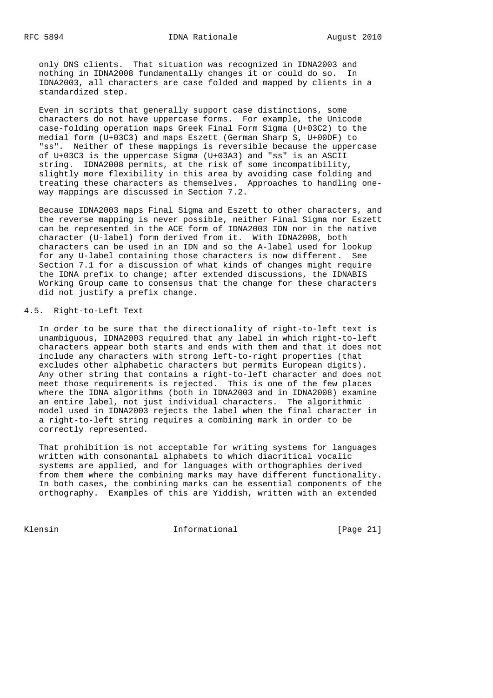only DNS clients. That situation was recognized in IDNA2003 and nothing in IDNA2008 fundamentally changes it or could do so. In IDNA2003, all characters are case folded and mapped by clients in a standardized step.

 Even in scripts that generally support case distinctions, some characters do not have uppercase forms. For example, the Unicode case-folding operation maps Greek Final Form Sigma (U+03C2) to the medial form (U+03C3) and maps Eszett (German Sharp S, U+00DF) to "ss". Neither of these mappings is reversible because the uppercase of U+03C3 is the uppercase Sigma (U+03A3) and "ss" is an ASCII string. IDNA2008 permits, at the risk of some incompatibility, slightly more flexibility in this area by avoiding case folding and treating these characters as themselves. Approaches to handling one way mappings are discussed in Section 7.2.

 Because IDNA2003 maps Final Sigma and Eszett to other characters, and the reverse mapping is never possible, neither Final Sigma nor Eszett can be represented in the ACE form of IDNA2003 IDN nor in the native character (U-label) form derived from it. With IDNA2008, both characters can be used in an IDN and so the A-label used for lookup for any U-label containing those characters is now different. See Section 7.1 for a discussion of what kinds of changes might require the IDNA prefix to change; after extended discussions, the IDNABIS Working Group came to consensus that the change for these characters did not justify a prefix change.

# 4.5. Right-to-Left Text

 In order to be sure that the directionality of right-to-left text is unambiguous, IDNA2003 required that any label in which right-to-left characters appear both starts and ends with them and that it does not include any characters with strong left-to-right properties (that excludes other alphabetic characters but permits European digits). Any other string that contains a right-to-left character and does not meet those requirements is rejected. This is one of the few places where the IDNA algorithms (both in IDNA2003 and in IDNA2008) examine an entire label, not just individual characters. The algorithmic model used in IDNA2003 rejects the label when the final character in a right-to-left string requires a combining mark in order to be correctly represented.

 That prohibition is not acceptable for writing systems for languages written with consonantal alphabets to which diacritical vocalic systems are applied, and for languages with orthographies derived from them where the combining marks may have different functionality. In both cases, the combining marks can be essential components of the orthography. Examples of this are Yiddish, written with an extended

Klensin 10 Informational [Page 21]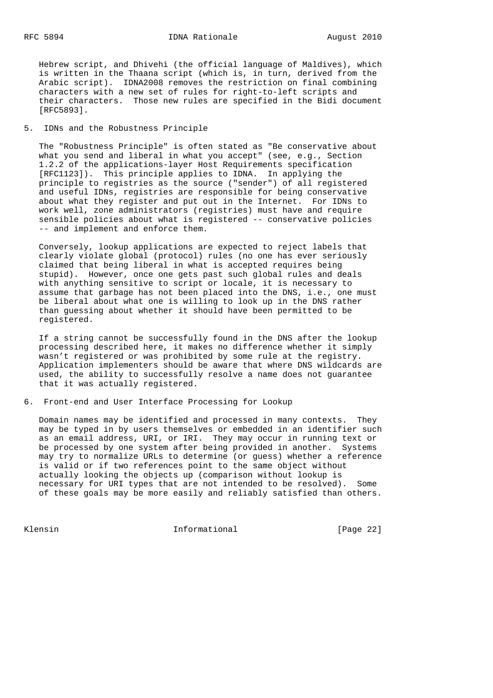Hebrew script, and Dhivehi (the official language of Maldives), which is written in the Thaana script (which is, in turn, derived from the Arabic script). IDNA2008 removes the restriction on final combining characters with a new set of rules for right-to-left scripts and their characters. Those new rules are specified in the Bidi document [RFC5893].

# 5. IDNs and the Robustness Principle

 The "Robustness Principle" is often stated as "Be conservative about what you send and liberal in what you accept" (see, e.g., Section 1.2.2 of the applications-layer Host Requirements specification [RFC1123]). This principle applies to IDNA. In applying the principle to registries as the source ("sender") of all registered and useful IDNs, registries are responsible for being conservative about what they register and put out in the Internet. For IDNs to work well, zone administrators (registries) must have and require sensible policies about what is registered -- conservative policies -- and implement and enforce them.

 Conversely, lookup applications are expected to reject labels that clearly violate global (protocol) rules (no one has ever seriously claimed that being liberal in what is accepted requires being stupid). However, once one gets past such global rules and deals with anything sensitive to script or locale, it is necessary to assume that garbage has not been placed into the DNS, i.e., one must be liberal about what one is willing to look up in the DNS rather than guessing about whether it should have been permitted to be registered.

 If a string cannot be successfully found in the DNS after the lookup processing described here, it makes no difference whether it simply wasn't registered or was prohibited by some rule at the registry. Application implementers should be aware that where DNS wildcards are used, the ability to successfully resolve a name does not guarantee that it was actually registered.

# 6. Front-end and User Interface Processing for Lookup

 Domain names may be identified and processed in many contexts. They may be typed in by users themselves or embedded in an identifier such as an email address, URI, or IRI. They may occur in running text or be processed by one system after being provided in another. Systems may try to normalize URLs to determine (or guess) whether a reference is valid or if two references point to the same object without actually looking the objects up (comparison without lookup is necessary for URI types that are not intended to be resolved). Some of these goals may be more easily and reliably satisfied than others.

Klensin 10 Informational [Page 22]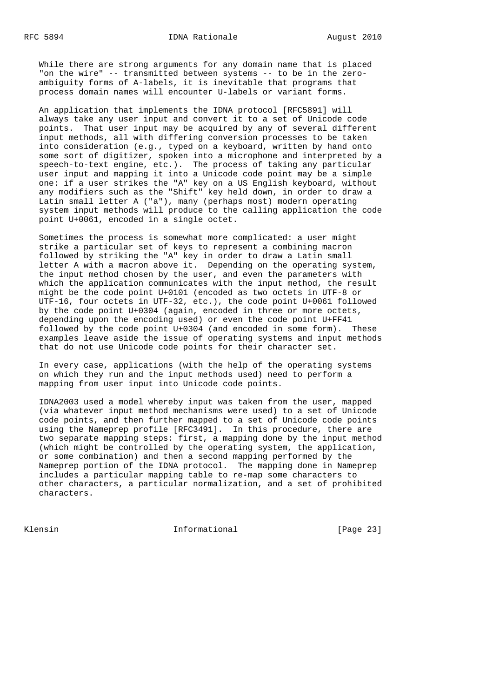While there are strong arguments for any domain name that is placed "on the wire" -- transmitted between systems -- to be in the zero ambiguity forms of A-labels, it is inevitable that programs that process domain names will encounter U-labels or variant forms.

 An application that implements the IDNA protocol [RFC5891] will always take any user input and convert it to a set of Unicode code points. That user input may be acquired by any of several different input methods, all with differing conversion processes to be taken into consideration (e.g., typed on a keyboard, written by hand onto some sort of digitizer, spoken into a microphone and interpreted by a speech-to-text engine, etc.). The process of taking any particular user input and mapping it into a Unicode code point may be a simple one: if a user strikes the "A" key on a US English keyboard, without any modifiers such as the "Shift" key held down, in order to draw a Latin small letter A ("a"), many (perhaps most) modern operating system input methods will produce to the calling application the code point U+0061, encoded in a single octet.

 Sometimes the process is somewhat more complicated: a user might strike a particular set of keys to represent a combining macron followed by striking the "A" key in order to draw a Latin small letter A with a macron above it. Depending on the operating system, the input method chosen by the user, and even the parameters with which the application communicates with the input method, the result might be the code point U+0101 (encoded as two octets in UTF-8 or UTF-16, four octets in UTF-32, etc.), the code point U+0061 followed by the code point U+0304 (again, encoded in three or more octets, depending upon the encoding used) or even the code point U+FF41 followed by the code point U+0304 (and encoded in some form). These examples leave aside the issue of operating systems and input methods that do not use Unicode code points for their character set.

 In every case, applications (with the help of the operating systems on which they run and the input methods used) need to perform a mapping from user input into Unicode code points.

 IDNA2003 used a model whereby input was taken from the user, mapped (via whatever input method mechanisms were used) to a set of Unicode code points, and then further mapped to a set of Unicode code points using the Nameprep profile [RFC3491]. In this procedure, there are two separate mapping steps: first, a mapping done by the input method (which might be controlled by the operating system, the application, or some combination) and then a second mapping performed by the Nameprep portion of the IDNA protocol. The mapping done in Nameprep includes a particular mapping table to re-map some characters to other characters, a particular normalization, and a set of prohibited characters.

Klensin 10 Informational [Page 23]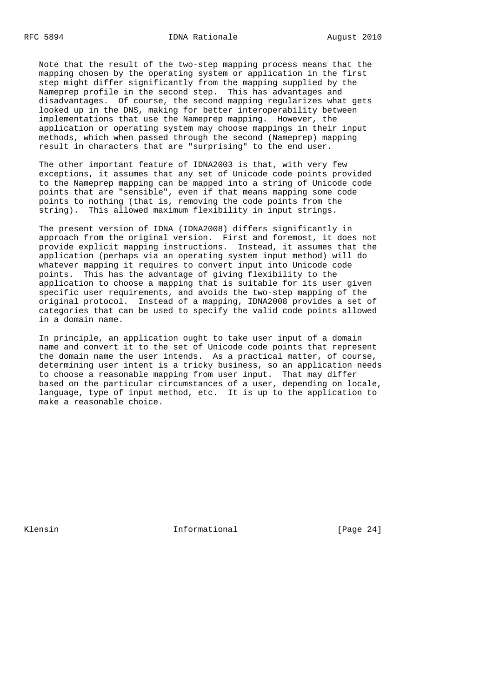Note that the result of the two-step mapping process means that the mapping chosen by the operating system or application in the first step might differ significantly from the mapping supplied by the Nameprep profile in the second step. This has advantages and disadvantages. Of course, the second mapping regularizes what gets looked up in the DNS, making for better interoperability between implementations that use the Nameprep mapping. However, the application or operating system may choose mappings in their input methods, which when passed through the second (Nameprep) mapping result in characters that are "surprising" to the end user.

 The other important feature of IDNA2003 is that, with very few exceptions, it assumes that any set of Unicode code points provided to the Nameprep mapping can be mapped into a string of Unicode code points that are "sensible", even if that means mapping some code points to nothing (that is, removing the code points from the string). This allowed maximum flexibility in input strings.

 The present version of IDNA (IDNA2008) differs significantly in approach from the original version. First and foremost, it does not provide explicit mapping instructions. Instead, it assumes that the application (perhaps via an operating system input method) will do whatever mapping it requires to convert input into Unicode code points. This has the advantage of giving flexibility to the application to choose a mapping that is suitable for its user given specific user requirements, and avoids the two-step mapping of the original protocol. Instead of a mapping, IDNA2008 provides a set of categories that can be used to specify the valid code points allowed in a domain name.

 In principle, an application ought to take user input of a domain name and convert it to the set of Unicode code points that represent the domain name the user intends. As a practical matter, of course, determining user intent is a tricky business, so an application needs to choose a reasonable mapping from user input. That may differ based on the particular circumstances of a user, depending on locale, language, type of input method, etc. It is up to the application to make a reasonable choice.

Klensin 10 Informational [Page 24]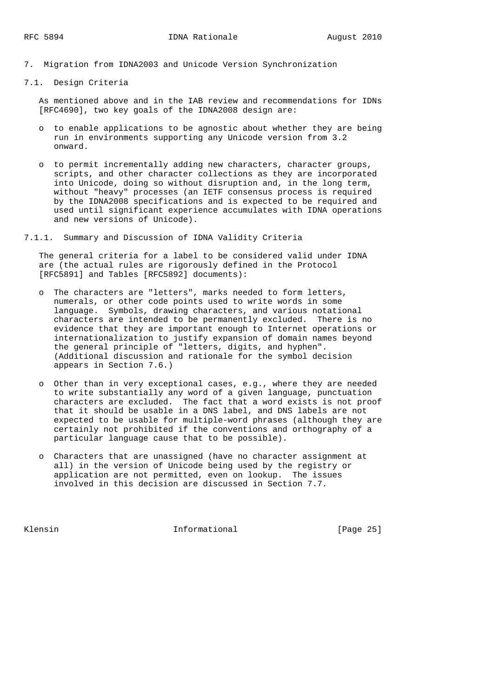- 7. Migration from IDNA2003 and Unicode Version Synchronization
- 7.1. Design Criteria

 As mentioned above and in the IAB review and recommendations for IDNs [RFC4690], two key goals of the IDNA2008 design are:

- o to enable applications to be agnostic about whether they are being run in environments supporting any Unicode version from 3.2 onward.
- o to permit incrementally adding new characters, character groups, scripts, and other character collections as they are incorporated into Unicode, doing so without disruption and, in the long term, without "heavy" processes (an IETF consensus process is required by the IDNA2008 specifications and is expected to be required and used until significant experience accumulates with IDNA operations and new versions of Unicode).
- 7.1.1. Summary and Discussion of IDNA Validity Criteria

 The general criteria for a label to be considered valid under IDNA are (the actual rules are rigorously defined in the Protocol [RFC5891] and Tables [RFC5892] documents):

- o The characters are "letters", marks needed to form letters, numerals, or other code points used to write words in some language. Symbols, drawing characters, and various notational characters are intended to be permanently excluded. There is no evidence that they are important enough to Internet operations or internationalization to justify expansion of domain names beyond the general principle of "letters, digits, and hyphen". (Additional discussion and rationale for the symbol decision appears in Section 7.6.)
- o Other than in very exceptional cases, e.g., where they are needed to write substantially any word of a given language, punctuation characters are excluded. The fact that a word exists is not proof that it should be usable in a DNS label, and DNS labels are not expected to be usable for multiple-word phrases (although they are certainly not prohibited if the conventions and orthography of a particular language cause that to be possible).
- o Characters that are unassigned (have no character assignment at all) in the version of Unicode being used by the registry or application are not permitted, even on lookup. The issues involved in this decision are discussed in Section 7.7.

Klensin 10 Informational [Page 25]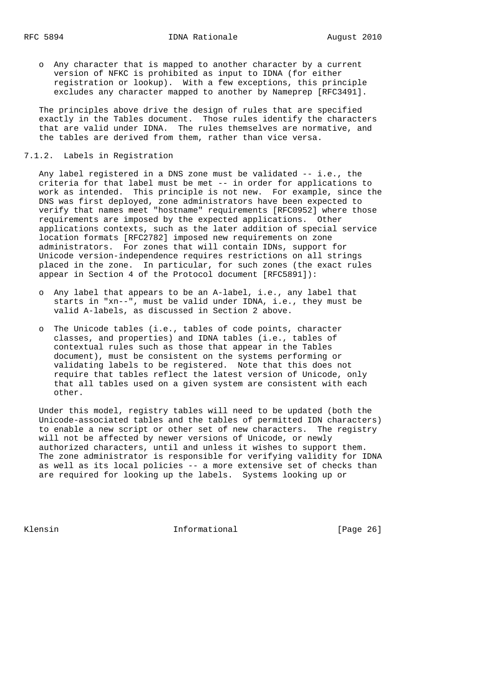o Any character that is mapped to another character by a current version of NFKC is prohibited as input to IDNA (for either registration or lookup). With a few exceptions, this principle excludes any character mapped to another by Nameprep [RFC3491].

 The principles above drive the design of rules that are specified exactly in the Tables document. Those rules identify the characters that are valid under IDNA. The rules themselves are normative, and the tables are derived from them, rather than vice versa.

#### 7.1.2. Labels in Registration

 Any label registered in a DNS zone must be validated -- i.e., the criteria for that label must be met -- in order for applications to work as intended. This principle is not new. For example, since the DNS was first deployed, zone administrators have been expected to verify that names meet "hostname" requirements [RFC0952] where those requirements are imposed by the expected applications. Other applications contexts, such as the later addition of special service location formats [RFC2782] imposed new requirements on zone administrators. For zones that will contain IDNs, support for Unicode version-independence requires restrictions on all strings placed in the zone. In particular, for such zones (the exact rules appear in Section 4 of the Protocol document [RFC5891]):

- o Any label that appears to be an A-label, i.e., any label that starts in "xn--", must be valid under IDNA, i.e., they must be valid A-labels, as discussed in Section 2 above.
- o The Unicode tables (i.e., tables of code points, character classes, and properties) and IDNA tables (i.e., tables of contextual rules such as those that appear in the Tables document), must be consistent on the systems performing or validating labels to be registered. Note that this does not require that tables reflect the latest version of Unicode, only that all tables used on a given system are consistent with each other.

 Under this model, registry tables will need to be updated (both the Unicode-associated tables and the tables of permitted IDN characters) to enable a new script or other set of new characters. The registry will not be affected by newer versions of Unicode, or newly authorized characters, until and unless it wishes to support them. The zone administrator is responsible for verifying validity for IDNA as well as its local policies -- a more extensive set of checks than are required for looking up the labels. Systems looking up or

Klensin 10 Informational [Page 26]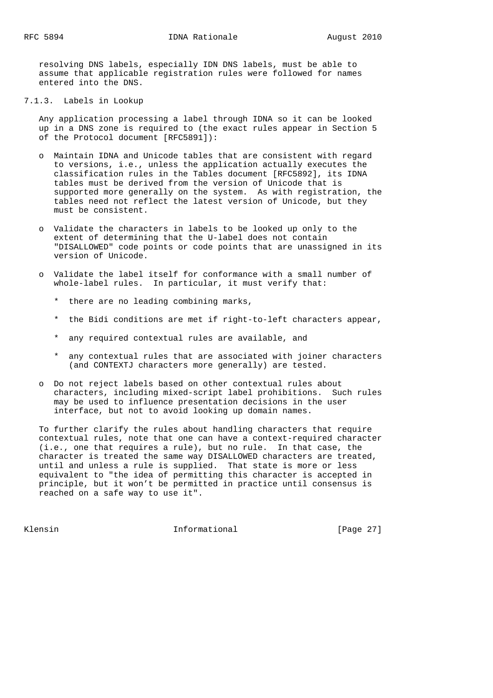resolving DNS labels, especially IDN DNS labels, must be able to assume that applicable registration rules were followed for names entered into the DNS.

7.1.3. Labels in Lookup

 Any application processing a label through IDNA so it can be looked up in a DNS zone is required to (the exact rules appear in Section 5 of the Protocol document [RFC5891]):

- o Maintain IDNA and Unicode tables that are consistent with regard to versions, i.e., unless the application actually executes the classification rules in the Tables document [RFC5892], its IDNA tables must be derived from the version of Unicode that is supported more generally on the system. As with registration, the tables need not reflect the latest version of Unicode, but they must be consistent.
- o Validate the characters in labels to be looked up only to the extent of determining that the U-label does not contain "DISALLOWED" code points or code points that are unassigned in its version of Unicode.
- o Validate the label itself for conformance with a small number of whole-label rules. In particular, it must verify that:
	- \* there are no leading combining marks,
	- \* the Bidi conditions are met if right-to-left characters appear,
	- \* any required contextual rules are available, and
	- \* any contextual rules that are associated with joiner characters (and CONTEXTJ characters more generally) are tested.
- o Do not reject labels based on other contextual rules about characters, including mixed-script label prohibitions. Such rules may be used to influence presentation decisions in the user interface, but not to avoid looking up domain names.

 To further clarify the rules about handling characters that require contextual rules, note that one can have a context-required character (i.e., one that requires a rule), but no rule. In that case, the character is treated the same way DISALLOWED characters are treated, until and unless a rule is supplied. That state is more or less equivalent to "the idea of permitting this character is accepted in principle, but it won't be permitted in practice until consensus is reached on a safe way to use it".

Klensin 10 Informational [Page 27]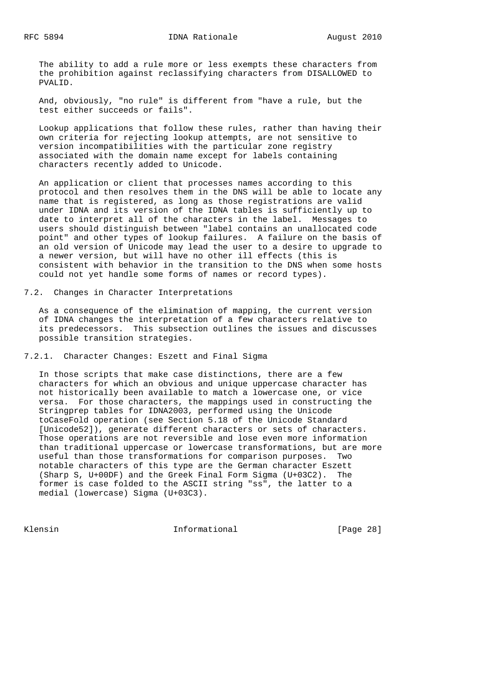The ability to add a rule more or less exempts these characters from the prohibition against reclassifying characters from DISALLOWED to PVALID.

 And, obviously, "no rule" is different from "have a rule, but the test either succeeds or fails".

 Lookup applications that follow these rules, rather than having their own criteria for rejecting lookup attempts, are not sensitive to version incompatibilities with the particular zone registry associated with the domain name except for labels containing characters recently added to Unicode.

 An application or client that processes names according to this protocol and then resolves them in the DNS will be able to locate any name that is registered, as long as those registrations are valid under IDNA and its version of the IDNA tables is sufficiently up to date to interpret all of the characters in the label. Messages to users should distinguish between "label contains an unallocated code point" and other types of lookup failures. A failure on the basis of an old version of Unicode may lead the user to a desire to upgrade to a newer version, but will have no other ill effects (this is consistent with behavior in the transition to the DNS when some hosts could not yet handle some forms of names or record types).

7.2. Changes in Character Interpretations

 As a consequence of the elimination of mapping, the current version of IDNA changes the interpretation of a few characters relative to its predecessors. This subsection outlines the issues and discusses possible transition strategies.

7.2.1. Character Changes: Eszett and Final Sigma

 In those scripts that make case distinctions, there are a few characters for which an obvious and unique uppercase character has not historically been available to match a lowercase one, or vice versa. For those characters, the mappings used in constructing the Stringprep tables for IDNA2003, performed using the Unicode toCaseFold operation (see Section 5.18 of the Unicode Standard [Unicode52]), generate different characters or sets of characters. Those operations are not reversible and lose even more information than traditional uppercase or lowercase transformations, but are more useful than those transformations for comparison purposes. Two notable characters of this type are the German character Eszett (Sharp S, U+00DF) and the Greek Final Form Sigma (U+03C2). The former is case folded to the ASCII string "ss", the latter to a medial (lowercase) Sigma (U+03C3).

Klensin 10 Informational [Page 28]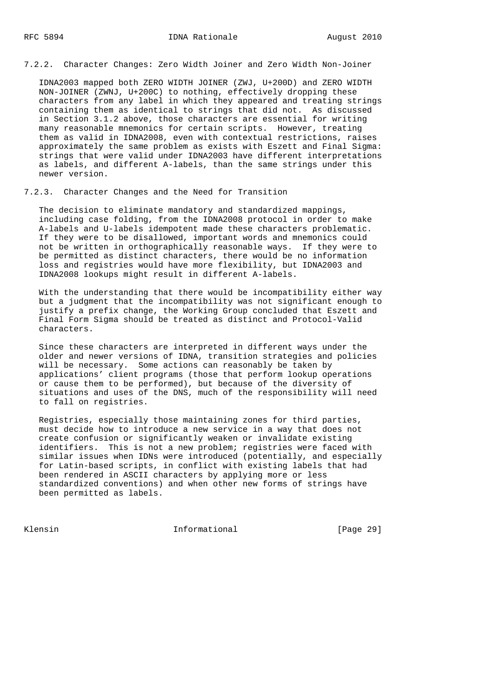7.2.2. Character Changes: Zero Width Joiner and Zero Width Non-Joiner

 IDNA2003 mapped both ZERO WIDTH JOINER (ZWJ, U+200D) and ZERO WIDTH NON-JOINER (ZWNJ, U+200C) to nothing, effectively dropping these characters from any label in which they appeared and treating strings containing them as identical to strings that did not. As discussed in Section 3.1.2 above, those characters are essential for writing many reasonable mnemonics for certain scripts. However, treating them as valid in IDNA2008, even with contextual restrictions, raises approximately the same problem as exists with Eszett and Final Sigma: strings that were valid under IDNA2003 have different interpretations as labels, and different A-labels, than the same strings under this newer version.

7.2.3. Character Changes and the Need for Transition

 The decision to eliminate mandatory and standardized mappings, including case folding, from the IDNA2008 protocol in order to make A-labels and U-labels idempotent made these characters problematic. If they were to be disallowed, important words and mnemonics could not be written in orthographically reasonable ways. If they were to be permitted as distinct characters, there would be no information loss and registries would have more flexibility, but IDNA2003 and IDNA2008 lookups might result in different A-labels.

 With the understanding that there would be incompatibility either way but a judgment that the incompatibility was not significant enough to justify a prefix change, the Working Group concluded that Eszett and Final Form Sigma should be treated as distinct and Protocol-Valid characters.

 Since these characters are interpreted in different ways under the older and newer versions of IDNA, transition strategies and policies will be necessary. Some actions can reasonably be taken by applications' client programs (those that perform lookup operations or cause them to be performed), but because of the diversity of situations and uses of the DNS, much of the responsibility will need to fall on registries.

 Registries, especially those maintaining zones for third parties, must decide how to introduce a new service in a way that does not create confusion or significantly weaken or invalidate existing identifiers. This is not a new problem; registries were faced with similar issues when IDNs were introduced (potentially, and especially for Latin-based scripts, in conflict with existing labels that had been rendered in ASCII characters by applying more or less standardized conventions) and when other new forms of strings have been permitted as labels.

Klensin 10 Informational [Page 29]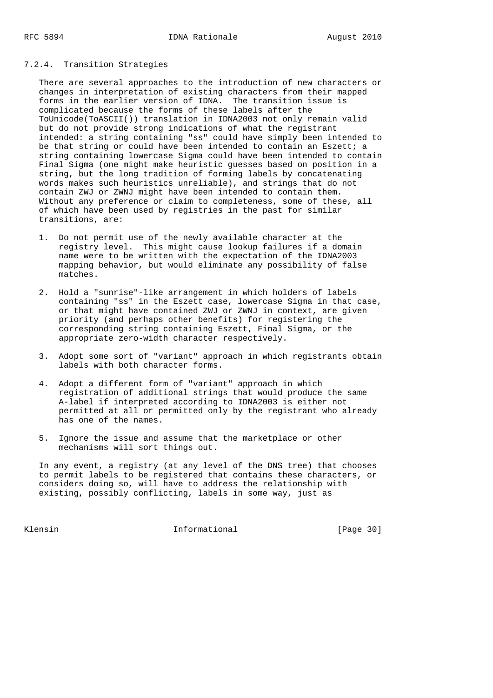# 7.2.4. Transition Strategies

 There are several approaches to the introduction of new characters or changes in interpretation of existing characters from their mapped forms in the earlier version of IDNA. The transition issue is complicated because the forms of these labels after the ToUnicode(ToASCII()) translation in IDNA2003 not only remain valid but do not provide strong indications of what the registrant intended: a string containing "ss" could have simply been intended to be that string or could have been intended to contain an Eszett; a string containing lowercase Sigma could have been intended to contain Final Sigma (one might make heuristic guesses based on position in a string, but the long tradition of forming labels by concatenating words makes such heuristics unreliable), and strings that do not contain ZWJ or ZWNJ might have been intended to contain them. Without any preference or claim to completeness, some of these, all of which have been used by registries in the past for similar transitions, are:

- 1. Do not permit use of the newly available character at the registry level. This might cause lookup failures if a domain name were to be written with the expectation of the IDNA2003 mapping behavior, but would eliminate any possibility of false matches.
- 2. Hold a "sunrise"-like arrangement in which holders of labels containing "ss" in the Eszett case, lowercase Sigma in that case, or that might have contained ZWJ or ZWNJ in context, are given priority (and perhaps other benefits) for registering the corresponding string containing Eszett, Final Sigma, or the appropriate zero-width character respectively.
- 3. Adopt some sort of "variant" approach in which registrants obtain labels with both character forms.
- 4. Adopt a different form of "variant" approach in which registration of additional strings that would produce the same A-label if interpreted according to IDNA2003 is either not permitted at all or permitted only by the registrant who already has one of the names.
- 5. Ignore the issue and assume that the marketplace or other mechanisms will sort things out.

 In any event, a registry (at any level of the DNS tree) that chooses to permit labels to be registered that contains these characters, or considers doing so, will have to address the relationship with existing, possibly conflicting, labels in some way, just as

Klensin 10 Informational [Page 30]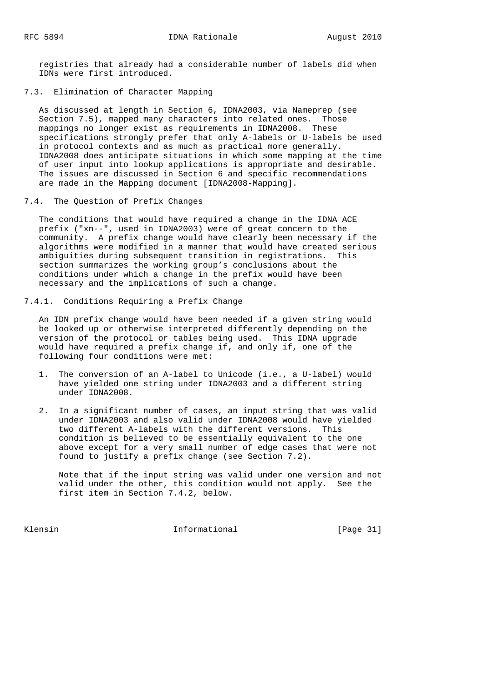registries that already had a considerable number of labels did when IDNs were first introduced.

7.3. Elimination of Character Mapping

 As discussed at length in Section 6, IDNA2003, via Nameprep (see Section 7.5), mapped many characters into related ones. Those mappings no longer exist as requirements in IDNA2008. These specifications strongly prefer that only A-labels or U-labels be used in protocol contexts and as much as practical more generally. IDNA2008 does anticipate situations in which some mapping at the time of user input into lookup applications is appropriate and desirable. The issues are discussed in Section 6 and specific recommendations are made in the Mapping document [IDNA2008-Mapping].

7.4. The Question of Prefix Changes

 The conditions that would have required a change in the IDNA ACE prefix ("xn--", used in IDNA2003) were of great concern to the community. A prefix change would have clearly been necessary if the algorithms were modified in a manner that would have created serious ambiguities during subsequent transition in registrations. This section summarizes the working group's conclusions about the conditions under which a change in the prefix would have been necessary and the implications of such a change.

7.4.1. Conditions Requiring a Prefix Change

 An IDN prefix change would have been needed if a given string would be looked up or otherwise interpreted differently depending on the version of the protocol or tables being used. This IDNA upgrade would have required a prefix change if, and only if, one of the following four conditions were met:

- 1. The conversion of an A-label to Unicode (i.e., a U-label) would have yielded one string under IDNA2003 and a different string under IDNA2008.
- 2. In a significant number of cases, an input string that was valid under IDNA2003 and also valid under IDNA2008 would have yielded two different A-labels with the different versions. This condition is believed to be essentially equivalent to the one above except for a very small number of edge cases that were not found to justify a prefix change (see Section 7.2).

 Note that if the input string was valid under one version and not valid under the other, this condition would not apply. See the first item in Section 7.4.2, below.

Klensin 10 Informational [Page 31]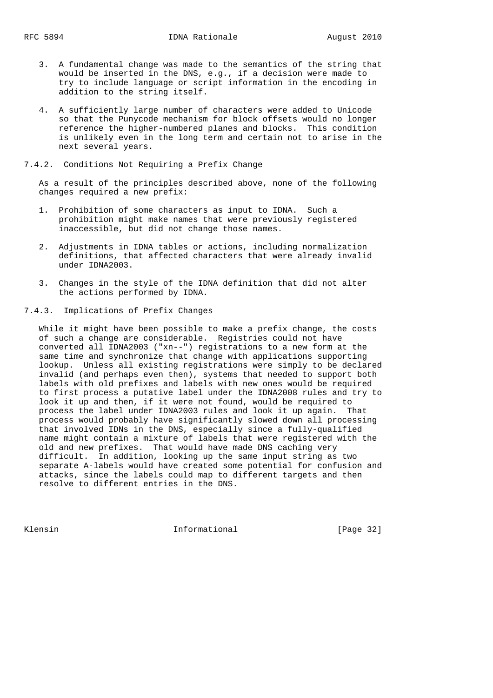- 3. A fundamental change was made to the semantics of the string that would be inserted in the DNS, e.g., if a decision were made to try to include language or script information in the encoding in addition to the string itself.
- 4. A sufficiently large number of characters were added to Unicode so that the Punycode mechanism for block offsets would no longer reference the higher-numbered planes and blocks. This condition is unlikely even in the long term and certain not to arise in the next several years.

# 7.4.2. Conditions Not Requiring a Prefix Change

 As a result of the principles described above, none of the following changes required a new prefix:

- 1. Prohibition of some characters as input to IDNA. Such a prohibition might make names that were previously registered inaccessible, but did not change those names.
- 2. Adjustments in IDNA tables or actions, including normalization definitions, that affected characters that were already invalid under IDNA2003.
- 3. Changes in the style of the IDNA definition that did not alter the actions performed by IDNA.
- 7.4.3. Implications of Prefix Changes

 While it might have been possible to make a prefix change, the costs of such a change are considerable. Registries could not have converted all IDNA2003 ("xn--") registrations to a new form at the same time and synchronize that change with applications supporting lookup. Unless all existing registrations were simply to be declared invalid (and perhaps even then), systems that needed to support both labels with old prefixes and labels with new ones would be required to first process a putative label under the IDNA2008 rules and try to look it up and then, if it were not found, would be required to process the label under IDNA2003 rules and look it up again. That process would probably have significantly slowed down all processing that involved IDNs in the DNS, especially since a fully-qualified name might contain a mixture of labels that were registered with the old and new prefixes. That would have made DNS caching very difficult. In addition, looking up the same input string as two separate A-labels would have created some potential for confusion and attacks, since the labels could map to different targets and then resolve to different entries in the DNS.

Klensin 10 Informational [Page 32]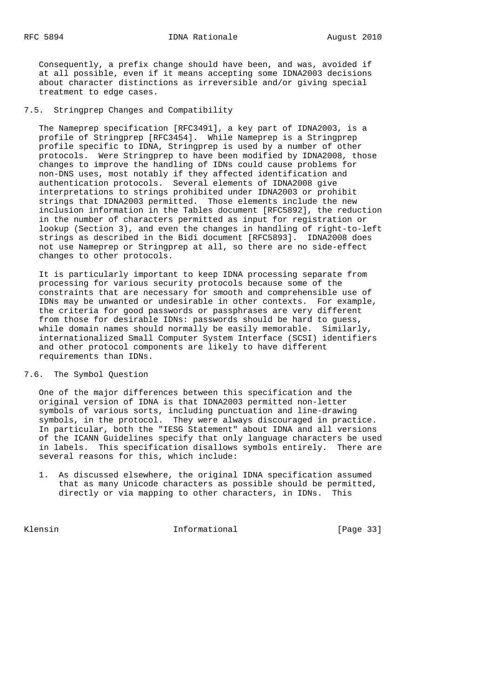Consequently, a prefix change should have been, and was, avoided if at all possible, even if it means accepting some IDNA2003 decisions about character distinctions as irreversible and/or giving special treatment to edge cases.

7.5. Stringprep Changes and Compatibility

 The Nameprep specification [RFC3491], a key part of IDNA2003, is a profile of Stringprep [RFC3454]. While Nameprep is a Stringprep profile specific to IDNA, Stringprep is used by a number of other protocols. Were Stringprep to have been modified by IDNA2008, those changes to improve the handling of IDNs could cause problems for non-DNS uses, most notably if they affected identification and authentication protocols. Several elements of IDNA2008 give interpretations to strings prohibited under IDNA2003 or prohibit strings that IDNA2003 permitted. Those elements include the new inclusion information in the Tables document [RFC5892], the reduction in the number of characters permitted as input for registration or lookup (Section 3), and even the changes in handling of right-to-left strings as described in the Bidi document [RFC5893]. IDNA2008 does not use Nameprep or Stringprep at all, so there are no side-effect changes to other protocols.

 It is particularly important to keep IDNA processing separate from processing for various security protocols because some of the constraints that are necessary for smooth and comprehensible use of IDNs may be unwanted or undesirable in other contexts. For example, the criteria for good passwords or passphrases are very different from those for desirable IDNs: passwords should be hard to guess, while domain names should normally be easily memorable. Similarly, internationalized Small Computer System Interface (SCSI) identifiers and other protocol components are likely to have different requirements than IDNs.

#### 7.6. The Symbol Question

 One of the major differences between this specification and the original version of IDNA is that IDNA2003 permitted non-letter symbols of various sorts, including punctuation and line-drawing symbols, in the protocol. They were always discouraged in practice. In particular, both the "IESG Statement" about IDNA and all versions of the ICANN Guidelines specify that only language characters be used in labels. This specification disallows symbols entirely. There are several reasons for this, which include:

 1. As discussed elsewhere, the original IDNA specification assumed that as many Unicode characters as possible should be permitted, directly or via mapping to other characters, in IDNs. This

Klensin 10 Informational [Page 33]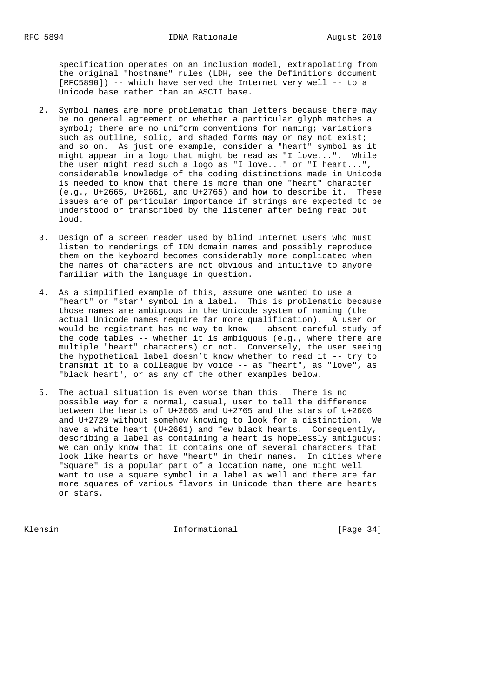specification operates on an inclusion model, extrapolating from the original "hostname" rules (LDH, see the Definitions document [RFC5890]) -- which have served the Internet very well -- to a Unicode base rather than an ASCII base.

- 2. Symbol names are more problematic than letters because there may be no general agreement on whether a particular glyph matches a symbol; there are no uniform conventions for naming; variations such as outline, solid, and shaded forms may or may not exist; and so on. As just one example, consider a "heart" symbol as it might appear in a logo that might be read as "I love...". While the user might read such a logo as "I love..." or "I heart...", considerable knowledge of the coding distinctions made in Unicode is needed to know that there is more than one "heart" character (e.g., U+2665, U+2661, and U+2765) and how to describe it. These issues are of particular importance if strings are expected to be understood or transcribed by the listener after being read out loud.
- 3. Design of a screen reader used by blind Internet users who must listen to renderings of IDN domain names and possibly reproduce them on the keyboard becomes considerably more complicated when the names of characters are not obvious and intuitive to anyone familiar with the language in question.
- 4. As a simplified example of this, assume one wanted to use a "heart" or "star" symbol in a label. This is problematic because those names are ambiguous in the Unicode system of naming (the actual Unicode names require far more qualification). A user or would-be registrant has no way to know -- absent careful study of the code tables -- whether it is ambiguous (e.g., where there are multiple "heart" characters) or not. Conversely, the user seeing the hypothetical label doesn't know whether to read it -- try to transmit it to a colleague by voice -- as "heart", as "love", as "black heart", or as any of the other examples below.
- 5. The actual situation is even worse than this. There is no possible way for a normal, casual, user to tell the difference between the hearts of U+2665 and U+2765 and the stars of U+2606 and U+2729 without somehow knowing to look for a distinction. We have a white heart (U+2661) and few black hearts. Consequently, describing a label as containing a heart is hopelessly ambiguous: we can only know that it contains one of several characters that look like hearts or have "heart" in their names. In cities where "Square" is a popular part of a location name, one might well want to use a square symbol in a label as well and there are far more squares of various flavors in Unicode than there are hearts or stars.

Klensin 11 Informational 1996 [Page 34]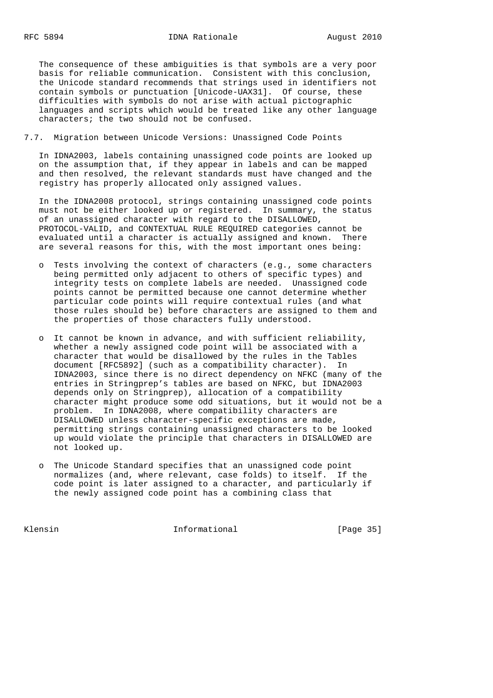The consequence of these ambiguities is that symbols are a very poor basis for reliable communication. Consistent with this conclusion, the Unicode standard recommends that strings used in identifiers not contain symbols or punctuation [Unicode-UAX31]. Of course, these difficulties with symbols do not arise with actual pictographic languages and scripts which would be treated like any other language characters; the two should not be confused.

7.7. Migration between Unicode Versions: Unassigned Code Points

 In IDNA2003, labels containing unassigned code points are looked up on the assumption that, if they appear in labels and can be mapped and then resolved, the relevant standards must have changed and the registry has properly allocated only assigned values.

 In the IDNA2008 protocol, strings containing unassigned code points must not be either looked up or registered. In summary, the status of an unassigned character with regard to the DISALLOWED, PROTOCOL-VALID, and CONTEXTUAL RULE REQUIRED categories cannot be evaluated until a character is actually assigned and known. There are several reasons for this, with the most important ones being:

- o Tests involving the context of characters (e.g., some characters being permitted only adjacent to others of specific types) and integrity tests on complete labels are needed. Unassigned code points cannot be permitted because one cannot determine whether particular code points will require contextual rules (and what those rules should be) before characters are assigned to them and the properties of those characters fully understood.
- o It cannot be known in advance, and with sufficient reliability, whether a newly assigned code point will be associated with a character that would be disallowed by the rules in the Tables document [RFC5892] (such as a compatibility character). In IDNA2003, since there is no direct dependency on NFKC (many of the entries in Stringprep's tables are based on NFKC, but IDNA2003 depends only on Stringprep), allocation of a compatibility character might produce some odd situations, but it would not be a problem. In IDNA2008, where compatibility characters are DISALLOWED unless character-specific exceptions are made, permitting strings containing unassigned characters to be looked up would violate the principle that characters in DISALLOWED are not looked up.
- o The Unicode Standard specifies that an unassigned code point normalizes (and, where relevant, case folds) to itself. If the code point is later assigned to a character, and particularly if the newly assigned code point has a combining class that

Klensin 10 Informational [Page 35]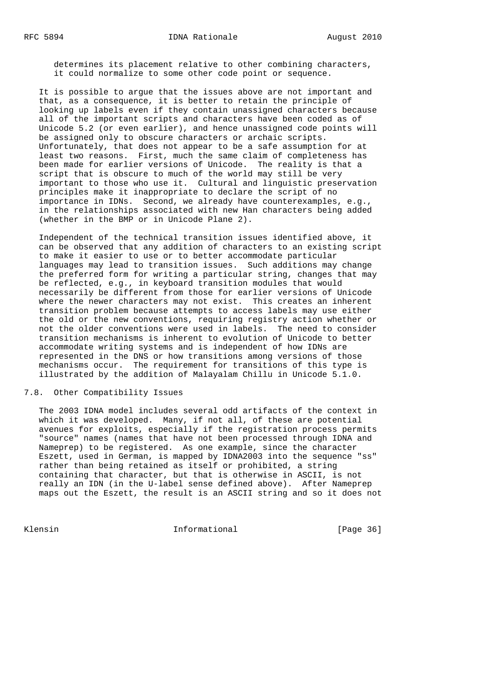determines its placement relative to other combining characters, it could normalize to some other code point or sequence.

 It is possible to argue that the issues above are not important and that, as a consequence, it is better to retain the principle of looking up labels even if they contain unassigned characters because all of the important scripts and characters have been coded as of Unicode 5.2 (or even earlier), and hence unassigned code points will be assigned only to obscure characters or archaic scripts. Unfortunately, that does not appear to be a safe assumption for at least two reasons. First, much the same claim of completeness has been made for earlier versions of Unicode. The reality is that a script that is obscure to much of the world may still be very important to those who use it. Cultural and linguistic preservation principles make it inappropriate to declare the script of no importance in IDNs. Second, we already have counterexamples, e.g., in the relationships associated with new Han characters being added (whether in the BMP or in Unicode Plane 2).

 Independent of the technical transition issues identified above, it can be observed that any addition of characters to an existing script to make it easier to use or to better accommodate particular languages may lead to transition issues. Such additions may change the preferred form for writing a particular string, changes that may be reflected, e.g., in keyboard transition modules that would necessarily be different from those for earlier versions of Unicode where the newer characters may not exist. This creates an inherent transition problem because attempts to access labels may use either the old or the new conventions, requiring registry action whether or not the older conventions were used in labels. The need to consider transition mechanisms is inherent to evolution of Unicode to better accommodate writing systems and is independent of how IDNs are represented in the DNS or how transitions among versions of those mechanisms occur. The requirement for transitions of this type is illustrated by the addition of Malayalam Chillu in Unicode 5.1.0.

#### 7.8. Other Compatibility Issues

 The 2003 IDNA model includes several odd artifacts of the context in which it was developed. Many, if not all, of these are potential avenues for exploits, especially if the registration process permits "source" names (names that have not been processed through IDNA and Nameprep) to be registered. As one example, since the character Eszett, used in German, is mapped by IDNA2003 into the sequence "ss" rather than being retained as itself or prohibited, a string containing that character, but that is otherwise in ASCII, is not really an IDN (in the U-label sense defined above). After Nameprep maps out the Eszett, the result is an ASCII string and so it does not

Klensin 10 Informational 1 [Page 36]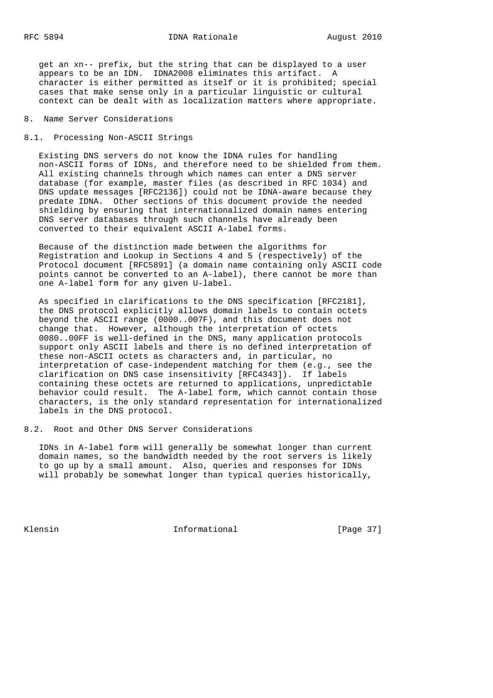get an xn-- prefix, but the string that can be displayed to a user appears to be an IDN. IDNA2008 eliminates this artifact. A character is either permitted as itself or it is prohibited; special cases that make sense only in a particular linguistic or cultural context can be dealt with as localization matters where appropriate.

- 8. Name Server Considerations
- 8.1. Processing Non-ASCII Strings

 Existing DNS servers do not know the IDNA rules for handling non-ASCII forms of IDNs, and therefore need to be shielded from them. All existing channels through which names can enter a DNS server database (for example, master files (as described in RFC 1034) and DNS update messages [RFC2136]) could not be IDNA-aware because they predate IDNA. Other sections of this document provide the needed shielding by ensuring that internationalized domain names entering DNS server databases through such channels have already been converted to their equivalent ASCII A-label forms.

 Because of the distinction made between the algorithms for Registration and Lookup in Sections 4 and 5 (respectively) of the Protocol document [RFC5891] (a domain name containing only ASCII code points cannot be converted to an A-label), there cannot be more than one A-label form for any given U-label.

 As specified in clarifications to the DNS specification [RFC2181], the DNS protocol explicitly allows domain labels to contain octets beyond the ASCII range (0000..007F), and this document does not change that. However, although the interpretation of octets 0080..00FF is well-defined in the DNS, many application protocols support only ASCII labels and there is no defined interpretation of these non-ASCII octets as characters and, in particular, no interpretation of case-independent matching for them (e.g., see the clarification on DNS case insensitivity [RFC4343]). If labels containing these octets are returned to applications, unpredictable behavior could result. The A-label form, which cannot contain those characters, is the only standard representation for internationalized labels in the DNS protocol.

8.2. Root and Other DNS Server Considerations

 IDNs in A-label form will generally be somewhat longer than current domain names, so the bandwidth needed by the root servers is likely to go up by a small amount. Also, queries and responses for IDNs will probably be somewhat longer than typical queries historically,

Klensin 10 Informational [Page 37]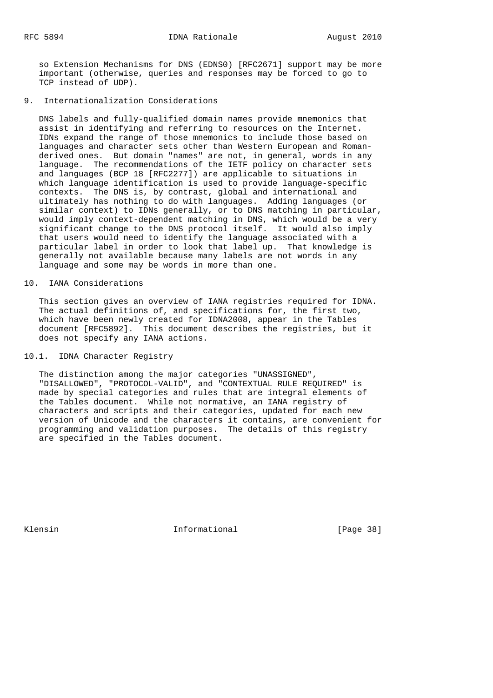so Extension Mechanisms for DNS (EDNS0) [RFC2671] support may be more important (otherwise, queries and responses may be forced to go to TCP instead of UDP).

9. Internationalization Considerations

 DNS labels and fully-qualified domain names provide mnemonics that assist in identifying and referring to resources on the Internet. IDNs expand the range of those mnemonics to include those based on languages and character sets other than Western European and Roman derived ones. But domain "names" are not, in general, words in any language. The recommendations of the IETF policy on character sets and languages (BCP 18 [RFC2277]) are applicable to situations in which language identification is used to provide language-specific contexts. The DNS is, by contrast, global and international and ultimately has nothing to do with languages. Adding languages (or similar context) to IDNs generally, or to DNS matching in particular, would imply context-dependent matching in DNS, which would be a very significant change to the DNS protocol itself. It would also imply that users would need to identify the language associated with a particular label in order to look that label up. That knowledge is generally not available because many labels are not words in any language and some may be words in more than one.

# 10. IANA Considerations

 This section gives an overview of IANA registries required for IDNA. The actual definitions of, and specifications for, the first two, which have been newly created for IDNA2008, appear in the Tables document [RFC5892]. This document describes the registries, but it does not specify any IANA actions.

10.1. IDNA Character Registry

 The distinction among the major categories "UNASSIGNED", "DISALLOWED", "PROTOCOL-VALID", and "CONTEXTUAL RULE REQUIRED" is made by special categories and rules that are integral elements of the Tables document. While not normative, an IANA registry of characters and scripts and their categories, updated for each new version of Unicode and the characters it contains, are convenient for programming and validation purposes. The details of this registry are specified in the Tables document.

Klensin 10 Informational [Page 38]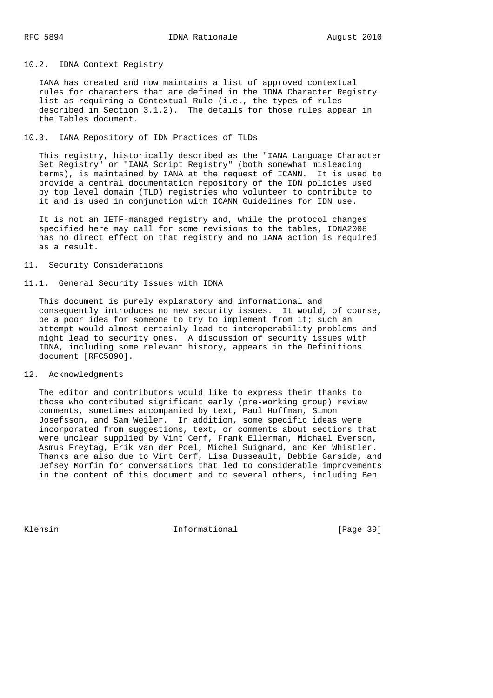#### 10.2. IDNA Context Registry

 IANA has created and now maintains a list of approved contextual rules for characters that are defined in the IDNA Character Registry list as requiring a Contextual Rule (i.e., the types of rules described in Section 3.1.2). The details for those rules appear in the Tables document.

# 10.3. IANA Repository of IDN Practices of TLDs

 This registry, historically described as the "IANA Language Character Set Registry" or "IANA Script Registry" (both somewhat misleading terms), is maintained by IANA at the request of ICANN. It is used to provide a central documentation repository of the IDN policies used by top level domain (TLD) registries who volunteer to contribute to it and is used in conjunction with ICANN Guidelines for IDN use.

 It is not an IETF-managed registry and, while the protocol changes specified here may call for some revisions to the tables, IDNA2008 has no direct effect on that registry and no IANA action is required as a result.

# 11. Security Considerations

#### 11.1. General Security Issues with IDNA

 This document is purely explanatory and informational and consequently introduces no new security issues. It would, of course, be a poor idea for someone to try to implement from it; such an attempt would almost certainly lead to interoperability problems and might lead to security ones. A discussion of security issues with IDNA, including some relevant history, appears in the Definitions document [RFC5890].

# 12. Acknowledgments

 The editor and contributors would like to express their thanks to those who contributed significant early (pre-working group) review comments, sometimes accompanied by text, Paul Hoffman, Simon Josefsson, and Sam Weiler. In addition, some specific ideas were incorporated from suggestions, text, or comments about sections that were unclear supplied by Vint Cerf, Frank Ellerman, Michael Everson, Asmus Freytag, Erik van der Poel, Michel Suignard, and Ken Whistler. Thanks are also due to Vint Cerf, Lisa Dusseault, Debbie Garside, and Jefsey Morfin for conversations that led to considerable improvements in the content of this document and to several others, including Ben

Klensin 10 Informational [Page 39]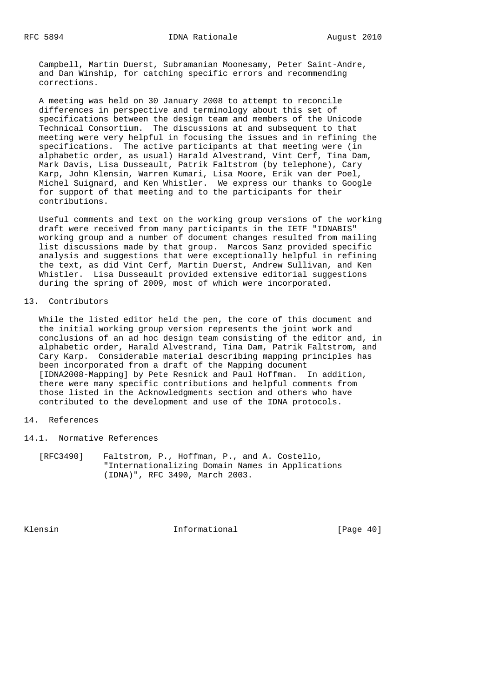Campbell, Martin Duerst, Subramanian Moonesamy, Peter Saint-Andre, and Dan Winship, for catching specific errors and recommending corrections.

 A meeting was held on 30 January 2008 to attempt to reconcile differences in perspective and terminology about this set of specifications between the design team and members of the Unicode Technical Consortium. The discussions at and subsequent to that meeting were very helpful in focusing the issues and in refining the specifications. The active participants at that meeting were (in alphabetic order, as usual) Harald Alvestrand, Vint Cerf, Tina Dam, Mark Davis, Lisa Dusseault, Patrik Faltstrom (by telephone), Cary Karp, John Klensin, Warren Kumari, Lisa Moore, Erik van der Poel, Michel Suignard, and Ken Whistler. We express our thanks to Google for support of that meeting and to the participants for their contributions.

 Useful comments and text on the working group versions of the working draft were received from many participants in the IETF "IDNABIS" working group and a number of document changes resulted from mailing list discussions made by that group. Marcos Sanz provided specific analysis and suggestions that were exceptionally helpful in refining the text, as did Vint Cerf, Martin Duerst, Andrew Sullivan, and Ken Whistler. Lisa Dusseault provided extensive editorial suggestions during the spring of 2009, most of which were incorporated.

#### 13. Contributors

 While the listed editor held the pen, the core of this document and the initial working group version represents the joint work and conclusions of an ad hoc design team consisting of the editor and, in alphabetic order, Harald Alvestrand, Tina Dam, Patrik Faltstrom, and Cary Karp. Considerable material describing mapping principles has been incorporated from a draft of the Mapping document [IDNA2008-Mapping] by Pete Resnick and Paul Hoffman. In addition, there were many specific contributions and helpful comments from those listed in the Acknowledgments section and others who have contributed to the development and use of the IDNA protocols.

# 14. References

14.1. Normative References

 [RFC3490] Faltstrom, P., Hoffman, P., and A. Costello, "Internationalizing Domain Names in Applications (IDNA)", RFC 3490, March 2003.

Klensin 10 Informational [Page 40]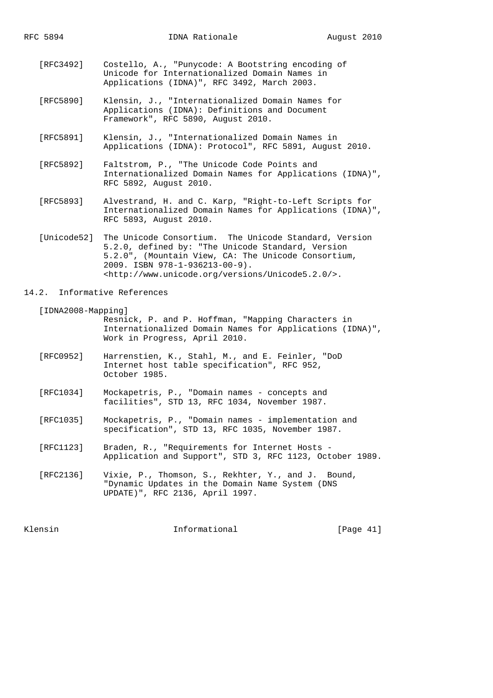- [RFC3492] Costello, A., "Punycode: A Bootstring encoding of Unicode for Internationalized Domain Names in Applications (IDNA)", RFC 3492, March 2003.
- [RFC5890] Klensin, J., "Internationalized Domain Names for Applications (IDNA): Definitions and Document Framework", RFC 5890, August 2010.
- [RFC5891] Klensin, J., "Internationalized Domain Names in Applications (IDNA): Protocol", RFC 5891, August 2010.
- [RFC5892] Faltstrom, P., "The Unicode Code Points and Internationalized Domain Names for Applications (IDNA)", RFC 5892, August 2010.
- [RFC5893] Alvestrand, H. and C. Karp, "Right-to-Left Scripts for Internationalized Domain Names for Applications (IDNA)", RFC 5893, August 2010.
- [Unicode52] The Unicode Consortium. The Unicode Standard, Version 5.2.0, defined by: "The Unicode Standard, Version 5.2.0", (Mountain View, CA: The Unicode Consortium, 2009. ISBN 978-1-936213-00-9). <http://www.unicode.org/versions/Unicode5.2.0/>.

#### 14.2. Informative References

[IDNA2008-Mapping]

 Resnick, P. and P. Hoffman, "Mapping Characters in Internationalized Domain Names for Applications (IDNA)", Work in Progress, April 2010.

- [RFC0952] Harrenstien, K., Stahl, M., and E. Feinler, "DoD Internet host table specification", RFC 952, October 1985.
- [RFC1034] Mockapetris, P., "Domain names concepts and facilities", STD 13, RFC 1034, November 1987.
- [RFC1035] Mockapetris, P., "Domain names implementation and specification", STD 13, RFC 1035, November 1987.
- [RFC1123] Braden, R., "Requirements for Internet Hosts Application and Support", STD 3, RFC 1123, October 1989.
- [RFC2136] Vixie, P., Thomson, S., Rekhter, Y., and J. Bound, "Dynamic Updates in the Domain Name System (DNS UPDATE)", RFC 2136, April 1997.

Klensin 10 Informational [Page 41]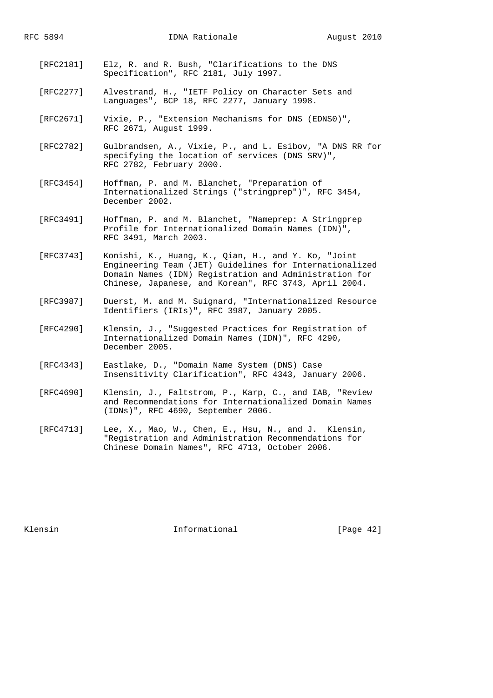- [RFC2181] Elz, R. and R. Bush, "Clarifications to the DNS Specification", RFC 2181, July 1997.
- [RFC2277] Alvestrand, H., "IETF Policy on Character Sets and Languages", BCP 18, RFC 2277, January 1998.
- [RFC2671] Vixie, P., "Extension Mechanisms for DNS (EDNS0)", RFC 2671, August 1999.
- [RFC2782] Gulbrandsen, A., Vixie, P., and L. Esibov, "A DNS RR for specifying the location of services (DNS SRV)", RFC 2782, February 2000.
- [RFC3454] Hoffman, P. and M. Blanchet, "Preparation of Internationalized Strings ("stringprep")", RFC 3454, December 2002.
- [RFC3491] Hoffman, P. and M. Blanchet, "Nameprep: A Stringprep Profile for Internationalized Domain Names (IDN)", RFC 3491, March 2003.
- [RFC3743] Konishi, K., Huang, K., Qian, H., and Y. Ko, "Joint Engineering Team (JET) Guidelines for Internationalized Domain Names (IDN) Registration and Administration for Chinese, Japanese, and Korean", RFC 3743, April 2004.
- [RFC3987] Duerst, M. and M. Suignard, "Internationalized Resource Identifiers (IRIs)", RFC 3987, January 2005.
- [RFC4290] Klensin, J., "Suggested Practices for Registration of Internationalized Domain Names (IDN)", RFC 4290, December 2005.
- [RFC4343] Eastlake, D., "Domain Name System (DNS) Case Insensitivity Clarification", RFC 4343, January 2006.
- [RFC4690] Klensin, J., Faltstrom, P., Karp, C., and IAB, "Review and Recommendations for Internationalized Domain Names (IDNs)", RFC 4690, September 2006.
- [RFC4713] Lee, X., Mao, W., Chen, E., Hsu, N., and J. Klensin, "Registration and Administration Recommendations for Chinese Domain Names", RFC 4713, October 2006.

Klensin 10 Informational [Page 42]